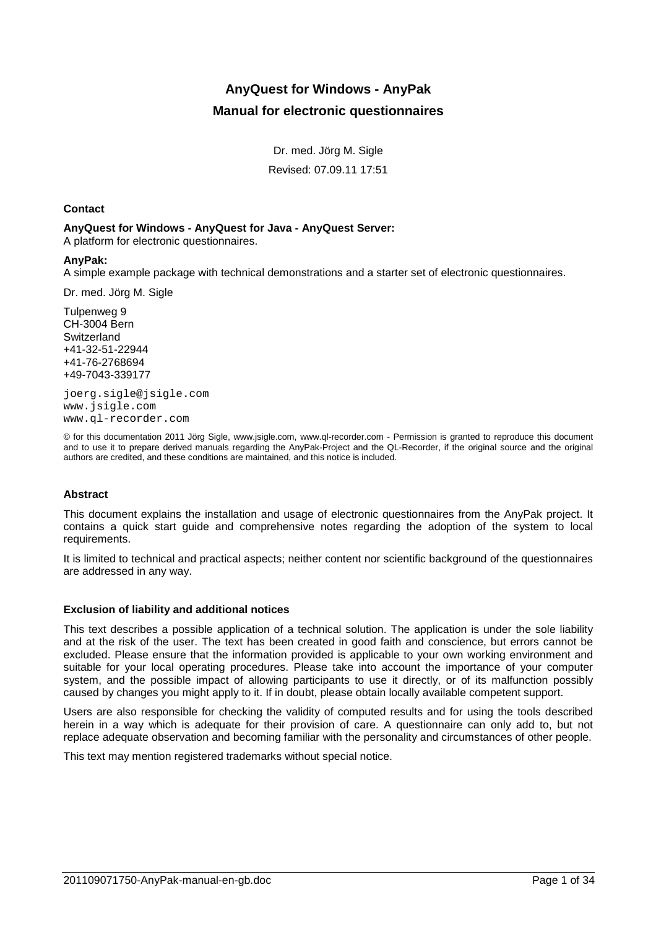# **AnyQuest for Windows - AnyPak Manual for electronic questionnaires**

Dr. med. Jörg M. Sigle

Revised: 07.09.11 17:51

## **Contact**

## **AnyQuest for Windows - AnyQuest for Java - AnyQuest Server:**

A platform for electronic questionnaires.

## **AnyPak:**

A simple example package with technical demonstrations and a starter set of electronic questionnaires.

Dr. med. Jörg M. Sigle

Tulpenweg 9 CH-3004 Bern **Switzerland** +41-32-51-22944 +41-76-2768694 +49-7043-339177

joerg.sigle@jsigle.com www.jsigle.com www.ql-recorder.com

© for this documentation 2011 Jörg Sigle, www.jsigle.com, www.ql-recorder.com - Permission is granted to reproduce this document and to use it to prepare derived manuals regarding the AnyPak-Project and the QL-Recorder, if the original source and the original authors are credited, and these conditions are maintained, and this notice is included.

## **Abstract**

This document explains the installation and usage of electronic questionnaires from the AnyPak project. It contains a quick start guide and comprehensive notes regarding the adoption of the system to local requirements.

It is limited to technical and practical aspects; neither content nor scientific background of the questionnaires are addressed in any way.

## **Exclusion of liability and additional notices**

This text describes a possible application of a technical solution. The application is under the sole liability and at the risk of the user. The text has been created in good faith and conscience, but errors cannot be excluded. Please ensure that the information provided is applicable to your own working environment and suitable for your local operating procedures. Please take into account the importance of your computer system, and the possible impact of allowing participants to use it directly, or of its malfunction possibly caused by changes you might apply to it. If in doubt, please obtain locally available competent support.

Users are also responsible for checking the validity of computed results and for using the tools described herein in a way which is adequate for their provision of care. A questionnaire can only add to, but not replace adequate observation and becoming familiar with the personality and circumstances of other people.

This text may mention registered trademarks without special notice.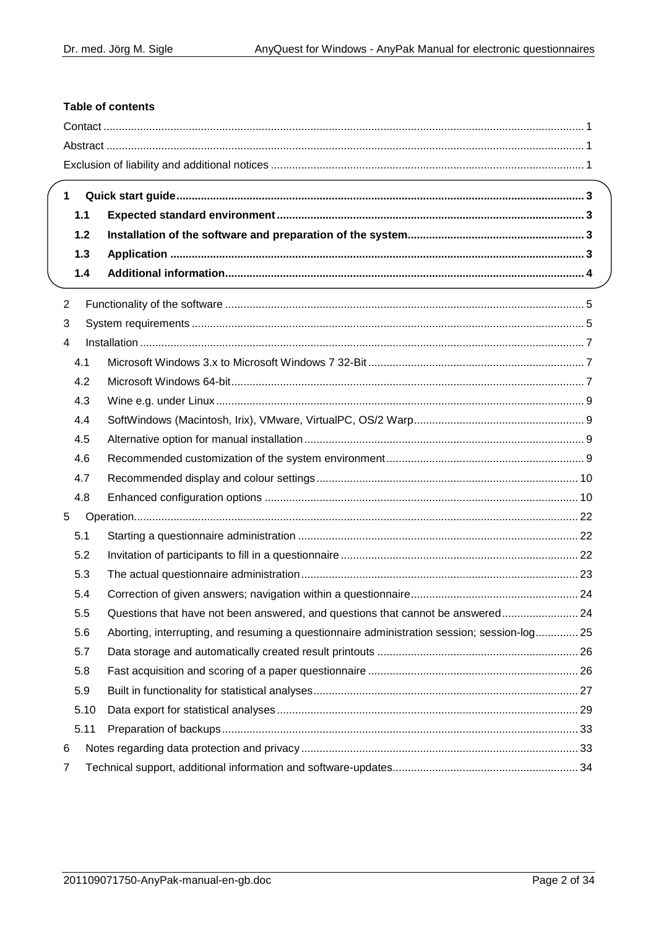# **Table of contents**

|                | <u> 1989 - Johann Stoff, die Stoff von Berger und der Stoff von Berger und der Stoff von Berger und der Stoff von</u> |  |
|----------------|-----------------------------------------------------------------------------------------------------------------------|--|
| $\mathbf{1}$   |                                                                                                                       |  |
| $1.1$          |                                                                                                                       |  |
| 1.2            |                                                                                                                       |  |
| $1.3$          |                                                                                                                       |  |
| 1.4            |                                                                                                                       |  |
| $\overline{2}$ |                                                                                                                       |  |
| 3              |                                                                                                                       |  |
| 4              |                                                                                                                       |  |
| 4.1            |                                                                                                                       |  |
| 4.2            |                                                                                                                       |  |
| 4.3            |                                                                                                                       |  |
| 4.4            |                                                                                                                       |  |
| 4.5            |                                                                                                                       |  |
| 4.6            |                                                                                                                       |  |
| 4.7            |                                                                                                                       |  |
| 4.8            |                                                                                                                       |  |
| 5              |                                                                                                                       |  |
| 5.1            |                                                                                                                       |  |
| 5.2            |                                                                                                                       |  |
| 5.3            |                                                                                                                       |  |
| 5.4            |                                                                                                                       |  |
| 5.5            | Questions that have not been answered, and questions that cannot be answered 24                                       |  |
| 5.6            | Aborting, interrupting, and resuming a questionnaire administration session; session-log 25                           |  |
| 5.7            |                                                                                                                       |  |
| 5.8            |                                                                                                                       |  |
| 5.9            |                                                                                                                       |  |
| 5.10           |                                                                                                                       |  |
| 5.11           |                                                                                                                       |  |
| 6              |                                                                                                                       |  |
| 7              |                                                                                                                       |  |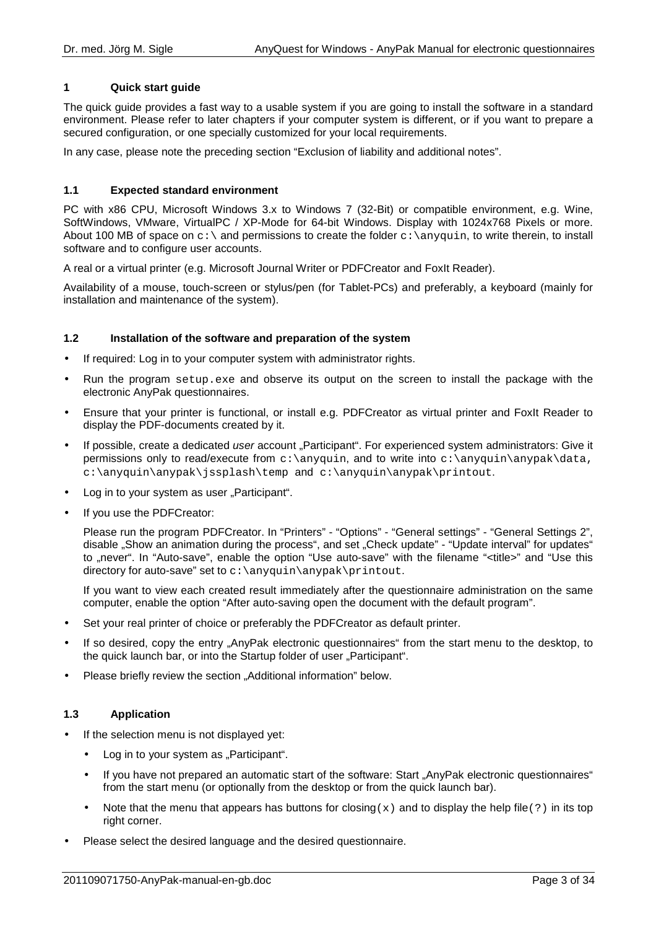## **1 Quick start guide**

The quick guide provides a fast way to a usable system if you are going to install the software in a standard environment. Please refer to later chapters if your computer system is different, or if you want to prepare a secured configuration, or one specially customized for your local requirements.

In any case, please note the preceding section "Exclusion of liability and additional notes".

## **1.1 Expected standard environment**

PC with x86 CPU, Microsoft Windows 3.x to Windows 7 (32-Bit) or compatible environment, e.g. Wine, SoftWindows, VMware, VirtualPC / XP-Mode for 64-bit Windows. Display with 1024x768 Pixels or more. About 100 MB of space on  $c:\$  and permissions to create the folder  $c:\$ anyquin, to write therein, to install software and to configure user accounts.

A real or a virtual printer (e.g. Microsoft Journal Writer or PDFCreator and FoxIt Reader).

Availability of a mouse, touch-screen or stylus/pen (for Tablet-PCs) and preferably, a keyboard (mainly for installation and maintenance of the system).

## **1.2 Installation of the software and preparation of the system**

- If required: Log in to your computer system with administrator rights.
- Run the program setup.exe and observe its output on the screen to install the package with the electronic AnyPak questionnaires.
- Ensure that your printer is functional, or install e.g. PDFCreator as virtual printer and FoxIt Reader to display the PDF-documents created by it.
- If possible, create a dedicated user account "Participant". For experienced system administrators: Give it permissions only to read/execute from  $c:\\any{qun}$ , and to write into  $c:\\any{qun}$  anypak $\data$ , c:\anyquin\anypak\jssplash\temp and c:\anyquin\anypak\printout.
- Log in to your system as user "Participant".
- If you use the PDFCreator:

Please run the program PDFCreator. In "Printers" - "Options" - "General settings" - "General Settings 2", disable "Show an animation during the process", and set "Check update" - "Update interval" for updates" to "never". In "Auto-save", enable the option "Use auto-save" with the filename "<title>" and "Use this directory for auto-save" set to c:\anyquin\anypak\printout.

If you want to view each created result immediately after the questionnaire administration on the same computer, enable the option "After auto-saving open the document with the default program".

- Set your real printer of choice or preferably the PDFCreator as default printer.
- If so desired, copy the entry "AnyPak electronic questionnaires" from the start menu to the desktop, to the quick launch bar, or into the Startup folder of user "Participant".
- Please briefly review the section "Additional information" below.

## **1.3 Application**

- If the selection menu is not displayed yet:
	- Log in to your system as "Participant".
	- If you have not prepared an automatic start of the software: Start "AnyPak electronic questionnaires" from the start menu (or optionally from the desktop or from the quick launch bar).
	- Note that the menu that appears has buttons for closing(x) and to display the help file(?) in its top right corner.
- Please select the desired language and the desired questionnaire.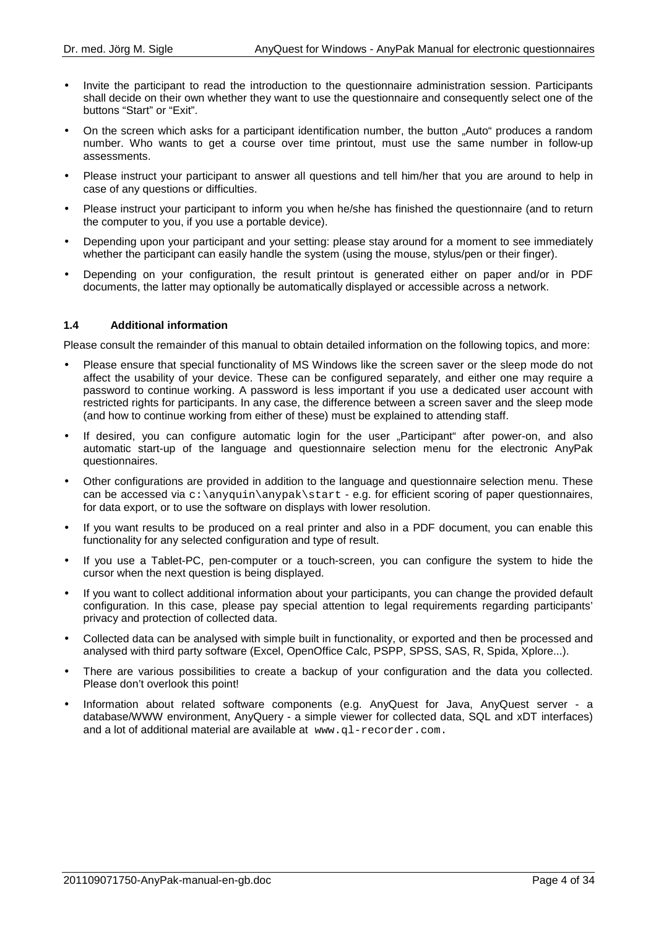- Invite the participant to read the introduction to the questionnaire administration session. Participants shall decide on their own whether they want to use the questionnaire and consequently select one of the buttons "Start" or "Exit".
- On the screen which asks for a participant identification number, the button "Auto" produces a random number. Who wants to get a course over time printout, must use the same number in follow-up assessments.
- Please instruct your participant to answer all questions and tell him/her that you are around to help in case of any questions or difficulties.
- Please instruct your participant to inform you when he/she has finished the questionnaire (and to return the computer to you, if you use a portable device).
- Depending upon your participant and your setting: please stay around for a moment to see immediately whether the participant can easily handle the system (using the mouse, stylus/pen or their finger).
- Depending on your configuration, the result printout is generated either on paper and/or in PDF documents, the latter may optionally be automatically displayed or accessible across a network.

## **1.4 Additional information**

Please consult the remainder of this manual to obtain detailed information on the following topics, and more:

- Please ensure that special functionality of MS Windows like the screen saver or the sleep mode do not affect the usability of your device. These can be configured separately, and either one may require a password to continue working. A password is less important if you use a dedicated user account with restricted rights for participants. In any case, the difference between a screen saver and the sleep mode (and how to continue working from either of these) must be explained to attending staff.
- If desired, you can configure automatic login for the user "Participant" after power-on, and also automatic start-up of the language and questionnaire selection menu for the electronic AnyPak questionnaires.
- Other configurations are provided in addition to the language and questionnaire selection menu. These can be accessed via  $c:\\any{qun}\any{pak}\start - e.g.$  for efficient scoring of paper questionnaires, for data export, or to use the software on displays with lower resolution.
- If you want results to be produced on a real printer and also in a PDF document, you can enable this functionality for any selected configuration and type of result.
- If you use a Tablet-PC, pen-computer or a touch-screen, you can configure the system to hide the cursor when the next question is being displayed.
- If you want to collect additional information about your participants, you can change the provided default configuration. In this case, please pay special attention to legal requirements regarding participants' privacy and protection of collected data.
- Collected data can be analysed with simple built in functionality, or exported and then be processed and analysed with third party software (Excel, OpenOffice Calc, PSPP, SPSS, SAS, R, Spida, Xplore...).
- There are various possibilities to create a backup of your configuration and the data you collected. Please don't overlook this point!
- Information about related software components (e.g. AnyQuest for Java, AnyQuest server a database/WWW environment, AnyQuery - a simple viewer for collected data, SQL and xDT interfaces) and a lot of additional material are available at www.ql-recorder.com.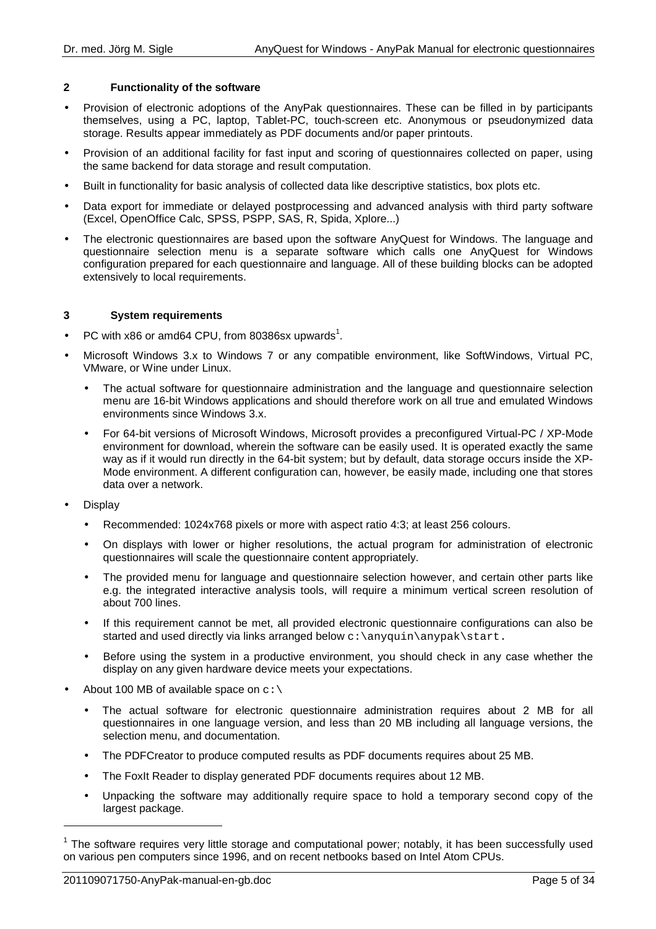## **2 Functionality of the software**

- Provision of electronic adoptions of the AnyPak questionnaires. These can be filled in by participants themselves, using a PC, laptop, Tablet-PC, touch-screen etc. Anonymous or pseudonymized data storage. Results appear immediately as PDF documents and/or paper printouts.
- Provision of an additional facility for fast input and scoring of questionnaires collected on paper, using the same backend for data storage and result computation.
- Built in functionality for basic analysis of collected data like descriptive statistics, box plots etc.
- Data export for immediate or delayed postprocessing and advanced analysis with third party software (Excel, OpenOffice Calc, SPSS, PSPP, SAS, R, Spida, Xplore...)
- The electronic questionnaires are based upon the software AnyQuest for Windows. The language and questionnaire selection menu is a separate software which calls one AnyQuest for Windows configuration prepared for each questionnaire and language. All of these building blocks can be adopted extensively to local requirements.

## **3 System requirements**

- PC with x86 or amd64 CPU, from 80386sx upwards<sup>1</sup>.
- Microsoft Windows 3.x to Windows 7 or any compatible environment, like SoftWindows, Virtual PC, VMware, or Wine under Linux.
	- The actual software for questionnaire administration and the language and questionnaire selection menu are 16-bit Windows applications and should therefore work on all true and emulated Windows environments since Windows 3.x.
	- For 64-bit versions of Microsoft Windows, Microsoft provides a preconfigured Virtual-PC / XP-Mode environment for download, wherein the software can be easily used. It is operated exactly the same way as if it would run directly in the 64-bit system; but by default, data storage occurs inside the XP-Mode environment. A different configuration can, however, be easily made, including one that stores data over a network.
- **Display**

l

- Recommended: 1024x768 pixels or more with aspect ratio 4:3; at least 256 colours.
- On displays with lower or higher resolutions, the actual program for administration of electronic questionnaires will scale the questionnaire content appropriately.
- The provided menu for language and questionnaire selection however, and certain other parts like e.g. the integrated interactive analysis tools, will require a minimum vertical screen resolution of about 700 lines.
- If this requirement cannot be met, all provided electronic questionnaire configurations can also be started and used directly via links arranged below c: \anyquin\anypak\start.
- Before using the system in a productive environment, you should check in any case whether the display on any given hardware device meets your expectations.
- About 100 MB of available space on  $c:\`$ 
	- The actual software for electronic questionnaire administration requires about 2 MB for all questionnaires in one language version, and less than 20 MB including all language versions, the selection menu, and documentation.
	- The PDFCreator to produce computed results as PDF documents requires about 25 MB.
	- The FoxIt Reader to display generated PDF documents requires about 12 MB.
	- Unpacking the software may additionally require space to hold a temporary second copy of the largest package.

 $1$  The software requires very little storage and computational power; notably, it has been successfully used on various pen computers since 1996, and on recent netbooks based on Intel Atom CPUs.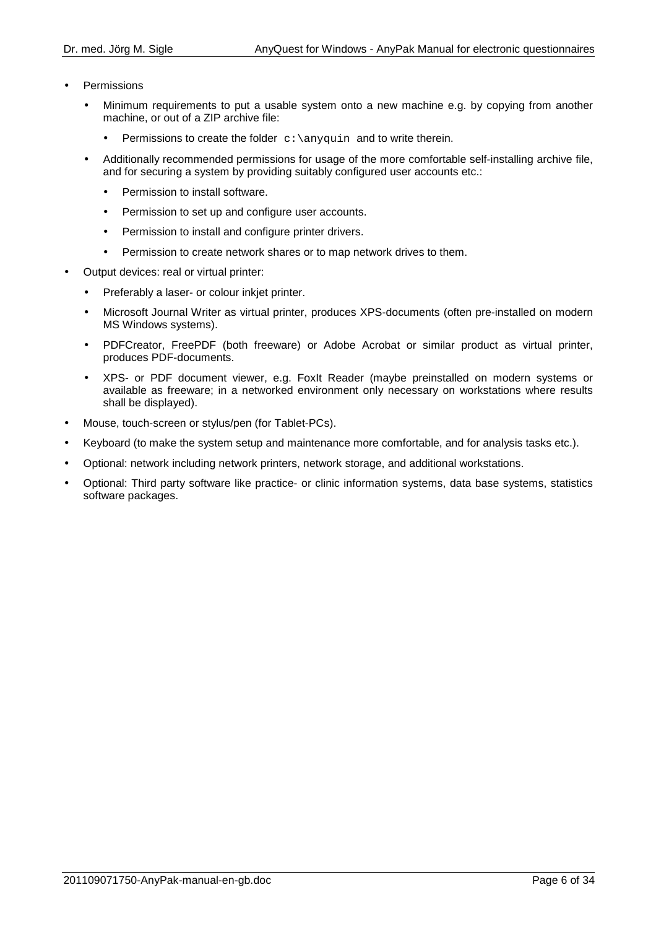- **Permissions** 
	- Minimum requirements to put a usable system onto a new machine e.g. by copying from another machine, or out of a ZIP archive file:
		- Permissions to create the folder  $c:\\anyquin$  and to write therein.
	- Additionally recommended permissions for usage of the more comfortable self-installing archive file, and for securing a system by providing suitably configured user accounts etc.:
		- Permission to install software.
		- Permission to set up and configure user accounts.
		- Permission to install and configure printer drivers.
		- Permission to create network shares or to map network drives to them.
- Output devices: real or virtual printer:
	- Preferably a laser- or colour inkjet printer.
	- Microsoft Journal Writer as virtual printer, produces XPS-documents (often pre-installed on modern MS Windows systems).
	- PDFCreator, FreePDF (both freeware) or Adobe Acrobat or similar product as virtual printer, produces PDF-documents.
	- XPS- or PDF document viewer, e.g. FoxIt Reader (maybe preinstalled on modern systems or available as freeware; in a networked environment only necessary on workstations where results shall be displayed).
- Mouse, touch-screen or stylus/pen (for Tablet-PCs).
- Keyboard (to make the system setup and maintenance more comfortable, and for analysis tasks etc.).
- Optional: network including network printers, network storage, and additional workstations.
- Optional: Third party software like practice- or clinic information systems, data base systems, statistics software packages.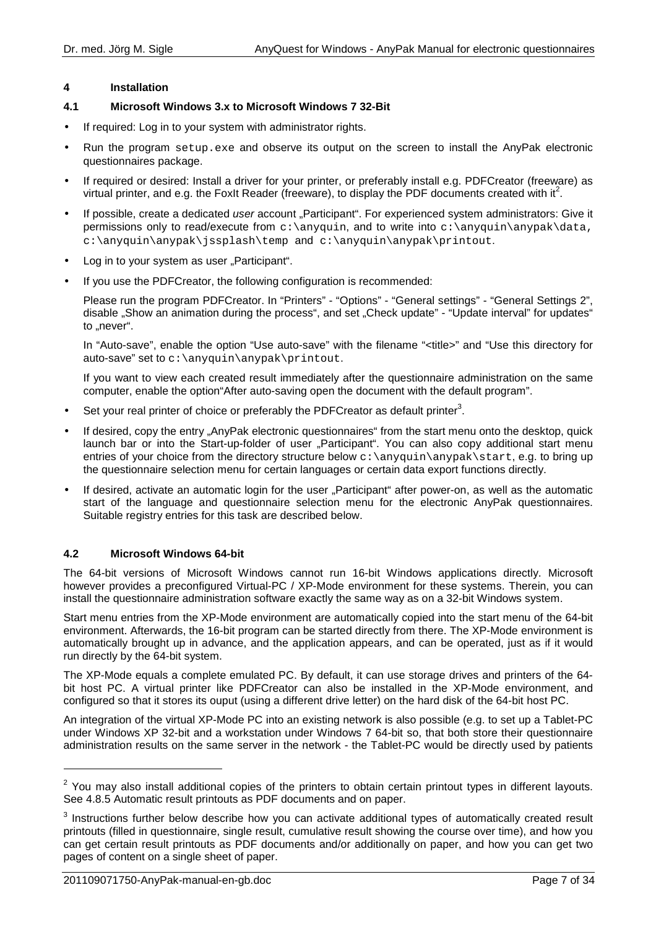## **4 Installation**

## **4.1 Microsoft Windows 3.x to Microsoft Windows 7 32-Bit**

- If required: Log in to your system with administrator rights.
- Run the program setup.exe and observe its output on the screen to install the AnyPak electronic questionnaires package.
- If required or desired: Install a driver for your printer, or preferably install e.g. PDFCreator (freeware) as virtual printer, and e.g. the FoxIt Reader (freeware), to display the PDF documents created with it<sup>2</sup>.
- If possible, create a dedicated user account "Participant". For experienced system administrators: Give it permissions only to read/execute from  $c:\any{qui}$ , and to write into  $c:\any{qui}$  anypak $\data$ , c:\anyquin\anypak\jssplash\temp and c:\anyquin\anypak\printout.
- Log in to your system as user "Participant".
- If you use the PDFCreator, the following configuration is recommended:

Please run the program PDFCreator. In "Printers" - "Options" - "General settings" - "General Settings 2", disable "Show an animation during the process", and set "Check update" - "Update interval" for updates" to "never".

In "Auto-save", enable the option "Use auto-save" with the filename "<title>" and "Use this directory for auto-save" set to  $c:\\anyquin\anypak\printout.$ 

If you want to view each created result immediately after the questionnaire administration on the same computer, enable the option"After auto-saving open the document with the default program".

- Set your real printer of choice or preferably the PDFCreator as default printer<sup>3</sup>.
- If desired, copy the entry "AnyPak electronic questionnaires" from the start menu onto the desktop, quick launch bar or into the Start-up-folder of user "Participant". You can also copy additional start menu entries of your choice from the directory structure below  $c:\anyquin\anypak\statile t$ , e.g. to bring up the questionnaire selection menu for certain languages or certain data export functions directly.
- If desired, activate an automatic login for the user "Participant" after power-on, as well as the automatic start of the language and questionnaire selection menu for the electronic AnyPak questionnaires. Suitable registry entries for this task are described below.

## **4.2 Microsoft Windows 64-bit**

The 64-bit versions of Microsoft Windows cannot run 16-bit Windows applications directly. Microsoft however provides a preconfigured Virtual-PC / XP-Mode environment for these systems. Therein, you can install the questionnaire administration software exactly the same way as on a 32-bit Windows system.

Start menu entries from the XP-Mode environment are automatically copied into the start menu of the 64-bit environment. Afterwards, the 16-bit program can be started directly from there. The XP-Mode environment is automatically brought up in advance, and the application appears, and can be operated, just as if it would run directly by the 64-bit system.

The XP-Mode equals a complete emulated PC. By default, it can use storage drives and printers of the 64 bit host PC. A virtual printer like PDFCreator can also be installed in the XP-Mode environment, and configured so that it stores its ouput (using a different drive letter) on the hard disk of the 64-bit host PC.

An integration of the virtual XP-Mode PC into an existing network is also possible (e.g. to set up a Tablet-PC under Windows XP 32-bit and a workstation under Windows 7 64-bit so, that both store their questionnaire administration results on the same server in the network - the Tablet-PC would be directly used by patients

 $\overline{a}$ 

 $2$  You may also install additional copies of the printers to obtain certain printout types in different layouts. See 4.8.5 Automatic result printouts as PDF documents and on paper.

 $3$  Instructions further below describe how you can activate additional types of automatically created result printouts (filled in questionnaire, single result, cumulative result showing the course over time), and how you can get certain result printouts as PDF documents and/or additionally on paper, and how you can get two pages of content on a single sheet of paper.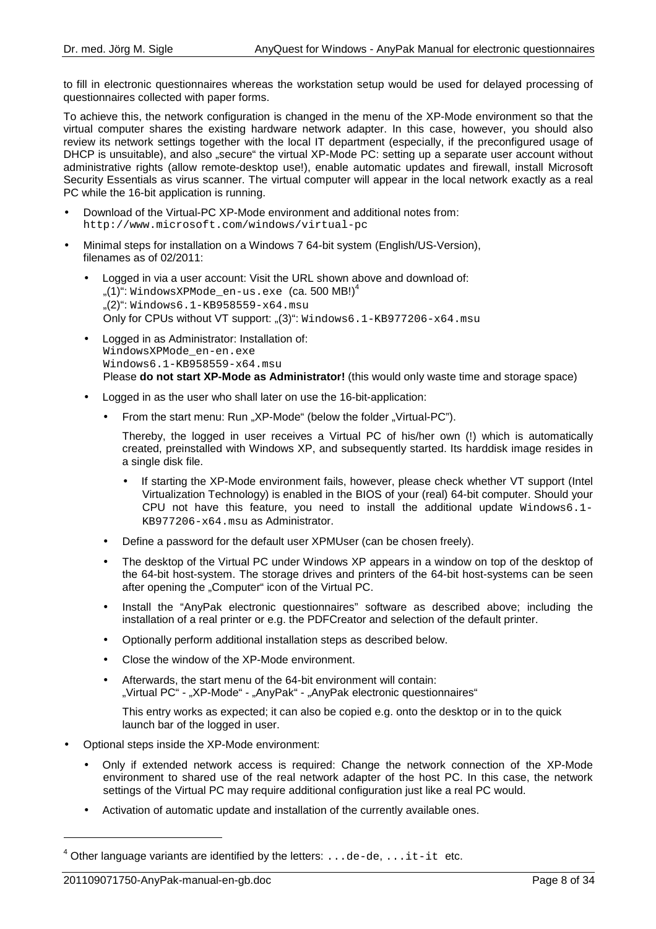to fill in electronic questionnaires whereas the workstation setup would be used for delayed processing of questionnaires collected with paper forms.

To achieve this, the network configuration is changed in the menu of the XP-Mode environment so that the virtual computer shares the existing hardware network adapter. In this case, however, you should also review its network settings together with the local IT department (especially, if the preconfigured usage of DHCP is unsuitable), and also "secure" the virtual XP-Mode PC: setting up a separate user account without administrative rights (allow remote-desktop use!), enable automatic updates and firewall, install Microsoft Security Essentials as virus scanner. The virtual computer will appear in the local network exactly as a real PC while the 16-bit application is running.

- Download of the Virtual-PC XP-Mode environment and additional notes from: http://www.microsoft.com/windows/virtual-pc
- Minimal steps for installation on a Windows 7 64-bit system (English/US-Version), filenames as of 02/2011:
	- Logged in via a user account: Visit the URL shown above and download of:  $(1)$ ": WindowsXPMode\_en-us.exe  $(Ca. 500 MB!)^4$  $,(2)$ ": Windows6.1-KB958559-x64.msu Only for CPUs without VT support: " $(3)$ ": Windows6.1-KB977206-x64.msu
	- Logged in as Administrator: Installation of: WindowsXPMode\_en-en.exe Windows6.1-KB958559-x64.msu Please **do not start XP-Mode as Administrator!** (this would only waste time and storage space)
	- Logged in as the user who shall later on use the 16-bit-application:
		- From the start menu: Run "XP-Mode" (below the folder "Virtual-PC").

Thereby, the logged in user receives a Virtual PC of his/her own (!) which is automatically created, preinstalled with Windows XP, and subsequently started. Its harddisk image resides in a single disk file.

- If starting the XP-Mode environment fails, however, please check whether VT support (Intel Virtualization Technology) is enabled in the BIOS of your (real) 64-bit computer. Should your CPU not have this feature, you need to install the additional update  $Windows 6.1-$ KB977206-x64.msu as Administrator.
- Define a password for the default user XPMUser (can be chosen freely).
- The desktop of the Virtual PC under Windows XP appears in a window on top of the desktop of the 64-bit host-system. The storage drives and printers of the 64-bit host-systems can be seen after opening the ..Computer" icon of the Virtual PC.
- Install the "AnyPak electronic questionnaires" software as described above; including the installation of a real printer or e.g. the PDFCreator and selection of the default printer.
- Optionally perform additional installation steps as described below.
- Close the window of the XP-Mode environment.
- Afterwards, the start menu of the 64-bit environment will contain: "Virtual PC" - "XP-Mode" - "AnyPak" - "AnyPak electronic questionnaires"

This entry works as expected; it can also be copied e.g. onto the desktop or in to the quick launch bar of the logged in user.

- Optional steps inside the XP-Mode environment:
	- Only if extended network access is required: Change the network connection of the XP-Mode environment to shared use of the real network adapter of the host PC. In this case, the network settings of the Virtual PC may require additional configuration just like a real PC would.
	- Activation of automatic update and installation of the currently available ones.

l

 $^4$  Other language variants are identified by the letters: . . . de-de, . . . it-it etc.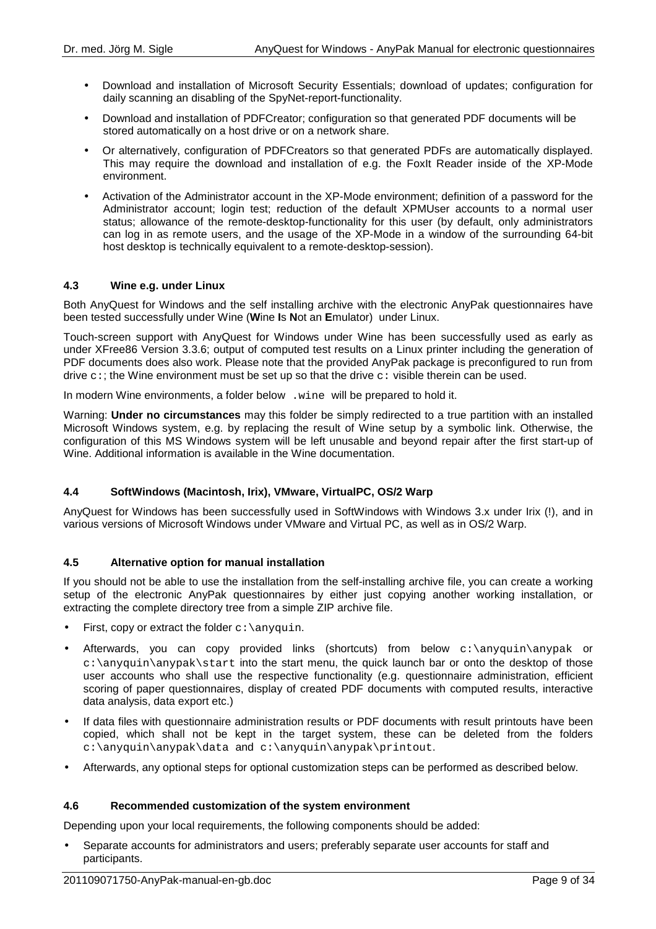- Download and installation of Microsoft Security Essentials; download of updates; configuration for daily scanning an disabling of the SpyNet-report-functionality.
- Download and installation of PDFCreator; configuration so that generated PDF documents will be stored automatically on a host drive or on a network share.
- Or alternatively, configuration of PDFCreators so that generated PDFs are automatically displayed. This may require the download and installation of e.g. the FoxIt Reader inside of the XP-Mode environment.
- Activation of the Administrator account in the XP-Mode environment; definition of a password for the Administrator account; login test; reduction of the default XPMUser accounts to a normal user status; allowance of the remote-desktop-functionality for this user (by default, only administrators can log in as remote users, and the usage of the XP-Mode in a window of the surrounding 64-bit host desktop is technically equivalent to a remote-desktop-session).

## **4.3 Wine e.g. under Linux**

Both AnyQuest for Windows and the self installing archive with the electronic AnyPak questionnaires have been tested successfully under Wine (**W**ine **I**s **N**ot an **E**mulator) under Linux.

Touch-screen support with AnyQuest for Windows under Wine has been successfully used as early as under XFree86 Version 3.3.6; output of computed test results on a Linux printer including the generation of PDF documents does also work. Please note that the provided AnyPak package is preconfigured to run from drive  $c$ :; the Wine environment must be set up so that the drive  $c$ : visible therein can be used.

In modern Wine environments, a folder below .wine will be prepared to hold it.

Warning: **Under no circumstances** may this folder be simply redirected to a true partition with an installed Microsoft Windows system, e.g. by replacing the result of Wine setup by a symbolic link. Otherwise, the configuration of this MS Windows system will be left unusable and beyond repair after the first start-up of Wine. Additional information is available in the Wine documentation.

## **4.4 SoftWindows (Macintosh, Irix), VMware, VirtualPC, OS/2 Warp**

AnyQuest for Windows has been successfully used in SoftWindows with Windows 3.x under Irix (!), and in various versions of Microsoft Windows under VMware and Virtual PC, as well as in OS/2 Warp.

## **4.5 Alternative option for manual installation**

If you should not be able to use the installation from the self-installing archive file, you can create a working setup of the electronic AnyPak questionnaires by either just copying another working installation, or extracting the complete directory tree from a simple ZIP archive file.

- First, copy or extract the folder  $c:\\any{qui}{n}$ .
- Afterwards, you can copy provided links (shortcuts) from below  $c:\\anyquin\anypak$  or  $c:\anyquin\anypak\statile$  into the start menu, the quick launch bar or onto the desktop of those user accounts who shall use the respective functionality (e.g. questionnaire administration, efficient scoring of paper questionnaires, display of created PDF documents with computed results, interactive data analysis, data export etc.)
- If data files with questionnaire administration results or PDF documents with result printouts have been copied, which shall not be kept in the target system, these can be deleted from the folders c:\anyquin\anypak\data and c:\anyquin\anypak\printout.
- Afterwards, any optional steps for optional customization steps can be performed as described below.

## **4.6 Recommended customization of the system environment**

Depending upon your local requirements, the following components should be added:

• Separate accounts for administrators and users; preferably separate user accounts for staff and participants.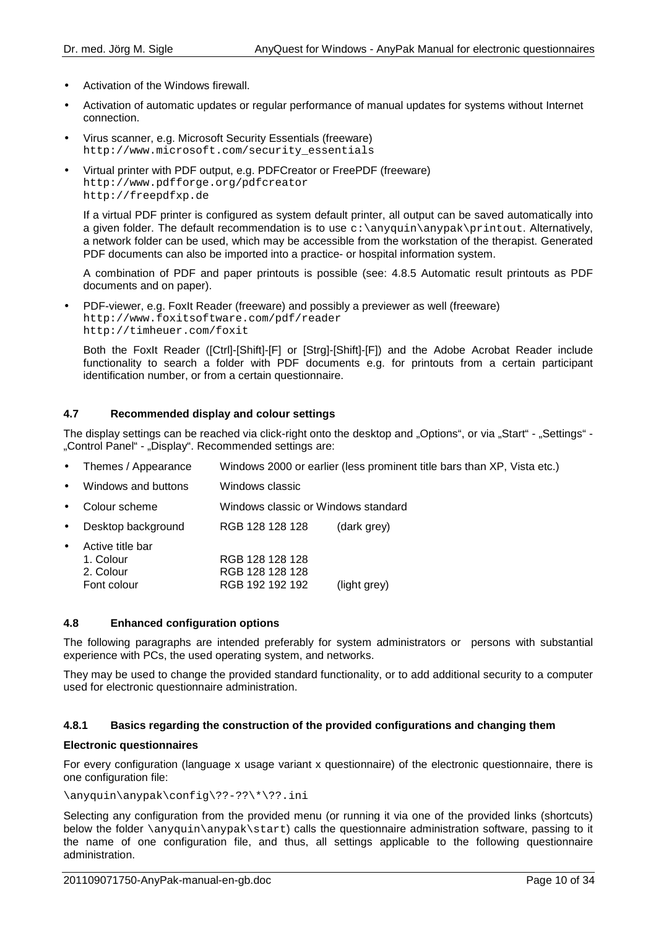- Activation of the Windows firewall.
- Activation of automatic updates or regular performance of manual updates for systems without Internet connection.
- Virus scanner, e.g. Microsoft Security Essentials (freeware) http://www.microsoft.com/security\_essentials
- Virtual printer with PDF output, e.g. PDFCreator or FreePDF (freeware) http://www.pdfforge.org/pdfcreator http://freepdfxp.de

If a virtual PDF printer is configured as system default printer, all output can be saved automatically into a given folder. The default recommendation is to use  $c:\an\varphi\$  any pak \printout. Alternatively, a network folder can be used, which may be accessible from the workstation of the therapist. Generated PDF documents can also be imported into a practice- or hospital information system.

A combination of PDF and paper printouts is possible (see: 4.8.5 Automatic result printouts as PDF documents and on paper).

• PDF-viewer, e.g. FoxIt Reader (freeware) and possibly a previewer as well (freeware) http://www.foxitsoftware.com/pdf/reader http://timheuer.com/foxit

Both the FoxIt Reader ([Ctrl]-[Shift]-[F] or [Strg]-[Shift]-[F]) and the Adobe Acrobat Reader include functionality to search a folder with PDF documents e.g. for printouts from a certain participant identification number, or from a certain questionnaire.

## **4.7 Recommended display and colour settings**

The display settings can be reached via click-right onto the desktop and "Options", or via "Start" - "Settings" -"Control Panel" - "Display". Recommended settings are:

- Themes / Appearance Windows 2000 or earlier (less prominent title bars than XP, Vista etc.)
- Windows and buttons Windows classic
- Colour scheme Windows classic or Windows standard
- Desktop background RGB 128 128 128 (dark grey)
- Active title bar 1. Colour RGB 128 128 128 2. Colour RGB 128 128 128 Font colour RGB 192 192 192 (light grey)

#### **4.8 Enhanced configuration options**

The following paragraphs are intended preferably for system administrators or persons with substantial experience with PCs, the used operating system, and networks.

They may be used to change the provided standard functionality, or to add additional security to a computer used for electronic questionnaire administration.

#### **4.8.1 Basics regarding the construction of the provided configurations and changing them**

#### **Electronic questionnaires**

For every configuration (language x usage variant x questionnaire) of the electronic questionnaire, there is one configuration file:

## \anyquin\anypak\config\??-??\\*\??.ini

Selecting any configuration from the provided menu (or running it via one of the provided links (shortcuts) below the folder \anyquin\anypak\start) calls the questionnaire administration software, passing to it the name of one configuration file, and thus, all settings applicable to the following questionnaire administration.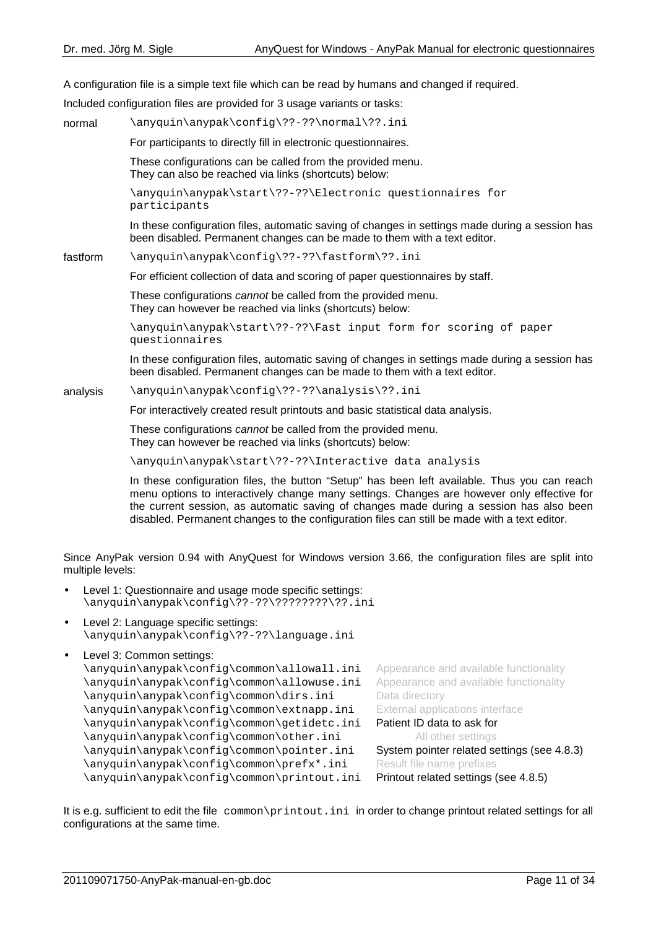A configuration file is a simple text file which can be read by humans and changed if required.

Included configuration files are provided for 3 usage variants or tasks:

normal \anyquin\anypak\config\??-??\normal\??.ini For participants to directly fill in electronic questionnaires. These configurations can be called from the provided menu. They can also be reached via links (shortcuts) below: \anyquin\anypak\start\??-??\Electronic questionnaires for participants In these configuration files, automatic saving of changes in settings made during a session has been disabled. Permanent changes can be made to them with a text editor. fastform \anyquin\anypak\config\??-??\fastform\??.ini For efficient collection of data and scoring of paper questionnaires by staff. These configurations cannot be called from the provided menu. They can however be reached via links (shortcuts) below: \anyquin\anypak\start\??-??\Fast input form for scoring of paper questionnaires In these configuration files, automatic saving of changes in settings made during a session has been disabled. Permanent changes can be made to them with a text editor. analysis \anyquin\anypak\config\??-??\analysis\??.ini For interactively created result printouts and basic statistical data analysis. These configurations cannot be called from the provided menu. They can however be reached via links (shortcuts) below:

\anyquin\anypak\start\??-??\Interactive data analysis

In these configuration files, the button "Setup" has been left available. Thus you can reach menu options to interactively change many settings. Changes are however only effective for the current session, as automatic saving of changes made during a session has also been disabled. Permanent changes to the configuration files can still be made with a text editor.

Since AnyPak version 0.94 with AnyQuest for Windows version 3.66, the configuration files are split into multiple levels:

- Level 1: Questionnaire and usage mode specific settings: \anyquin\anypak\config\??-??\????????\??.ini
- Level 2: Language specific settings: \anyquin\anypak\config\??-??\language.ini
- Level 3: Common settings:

```
\anyquin\anypak\config\common\allowall.ini Appearance and available functionality
\anyquin\anypak\config\common\allowuse.ini Appearance and available functionality
\anyquin\anypak\config\common\dirs.ini Data directory
\anyquin\anypak\config\common\extnapp.ini External applications interface
\anyquin\anypak\config\common\getidetc.ini Patient ID data to ask for
\anyquin\anypak\config\common\other.ini All other settings
\anyquin\anypak\config\common\pointer.ini System pointer related settings (see 4.8.3)
\anyquin\anypak\config\common\prefx*.ini Result file name prefixes
\anyquin\anypak\config\common\printout.ini Printout related settings (see 4.8.5)
```
It is e.g. sufficient to edit the file common\printout.ini in order to change printout related settings for all configurations at the same time.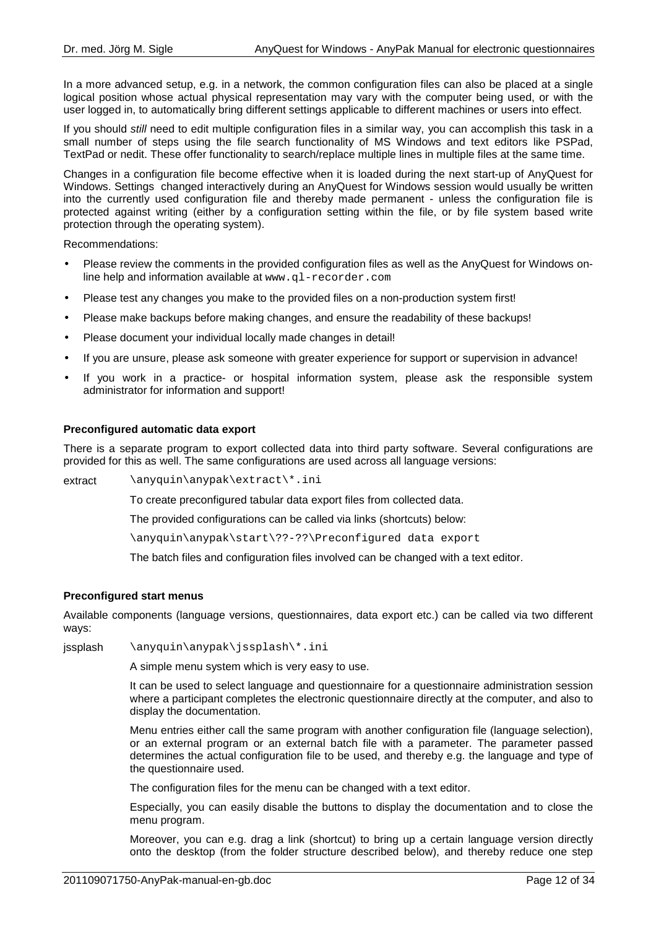In a more advanced setup, e.g. in a network, the common configuration files can also be placed at a single logical position whose actual physical representation may vary with the computer being used, or with the user logged in, to automatically bring different settings applicable to different machines or users into effect.

If you should still need to edit multiple configuration files in a similar way, you can accomplish this task in a small number of steps using the file search functionality of MS Windows and text editors like PSPad, TextPad or nedit. These offer functionality to search/replace multiple lines in multiple files at the same time.

Changes in a configuration file become effective when it is loaded during the next start-up of AnyQuest for Windows. Settings changed interactively during an AnyQuest for Windows session would usually be written into the currently used configuration file and thereby made permanent - unless the configuration file is protected against writing (either by a configuration setting within the file, or by file system based write protection through the operating system).

Recommendations:

- Please review the comments in the provided configuration files as well as the AnyQuest for Windows online help and information available at www.ql-recorder.com
- Please test any changes you make to the provided files on a non-production system first!
- Please make backups before making changes, and ensure the readability of these backups!
- Please document your individual locally made changes in detail!
- If you are unsure, please ask someone with greater experience for support or supervision in advance!
- If you work in a practice- or hospital information system, please ask the responsible system administrator for information and support!

#### **Preconfigured automatic data export**

There is a separate program to export collected data into third party software. Several configurations are provided for this as well. The same configurations are used across all language versions:

extract \anyquin\anypak\extract\\*.ini

To create preconfigured tabular data export files from collected data.

The provided configurations can be called via links (shortcuts) below:

\anyquin\anypak\start\??-??\Preconfigured data export

The batch files and configuration files involved can be changed with a text editor.

#### **Preconfigured start menus**

Available components (language versions, questionnaires, data export etc.) can be called via two different ways:

jssplash \anyquin\anypak\jssplash\\*.ini

A simple menu system which is very easy to use.

It can be used to select language and questionnaire for a questionnaire administration session where a participant completes the electronic questionnaire directly at the computer, and also to display the documentation.

Menu entries either call the same program with another configuration file (language selection), or an external program or an external batch file with a parameter. The parameter passed determines the actual configuration file to be used, and thereby e.g. the language and type of the questionnaire used.

The configuration files for the menu can be changed with a text editor.

Especially, you can easily disable the buttons to display the documentation and to close the menu program.

Moreover, you can e.g. drag a link (shortcut) to bring up a certain language version directly onto the desktop (from the folder structure described below), and thereby reduce one step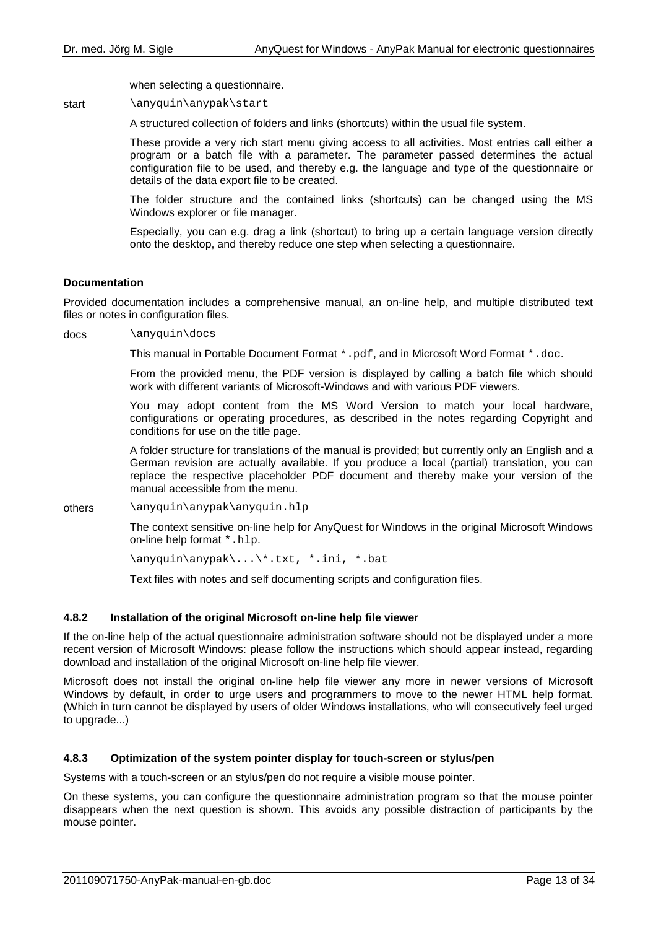when selecting a questionnaire.

start \anyquin\anypak\start

A structured collection of folders and links (shortcuts) within the usual file system.

These provide a very rich start menu giving access to all activities. Most entries call either a program or a batch file with a parameter. The parameter passed determines the actual configuration file to be used, and thereby e.g. the language and type of the questionnaire or details of the data export file to be created.

The folder structure and the contained links (shortcuts) can be changed using the MS Windows explorer or file manager.

Especially, you can e.g. drag a link (shortcut) to bring up a certain language version directly onto the desktop, and thereby reduce one step when selecting a questionnaire.

#### **Documentation**

Provided documentation includes a comprehensive manual, an on-line help, and multiple distributed text files or notes in configuration files.

docs \anyquin\docs

This manual in Portable Document Format \*.pdf, and in Microsoft Word Format \*.doc.

From the provided menu, the PDF version is displayed by calling a batch file which should work with different variants of Microsoft-Windows and with various PDF viewers.

You may adopt content from the MS Word Version to match your local hardware, configurations or operating procedures, as described in the notes regarding Copyright and conditions for use on the title page.

A folder structure for translations of the manual is provided; but currently only an English and a German revision are actually available. If you produce a local (partial) translation, you can replace the respective placeholder PDF document and thereby make your version of the manual accessible from the menu.

others \anyquin\anypak\anyquin.hlp

The context sensitive on-line help for AnyQuest for Windows in the original Microsoft Windows on-line help format \*.hlp.

\anyquin\anypak\...\\*.txt, \*.ini, \*.bat

Text files with notes and self documenting scripts and configuration files.

#### **4.8.2 Installation of the original Microsoft on-line help file viewer**

If the on-line help of the actual questionnaire administration software should not be displayed under a more recent version of Microsoft Windows: please follow the instructions which should appear instead, regarding download and installation of the original Microsoft on-line help file viewer.

Microsoft does not install the original on-line help file viewer any more in newer versions of Microsoft Windows by default, in order to urge users and programmers to move to the newer HTML help format. (Which in turn cannot be displayed by users of older Windows installations, who will consecutively feel urged to upgrade...)

#### **4.8.3 Optimization of the system pointer display for touch-screen or stylus/pen**

Systems with a touch-screen or an stylus/pen do not require a visible mouse pointer.

On these systems, you can configure the questionnaire administration program so that the mouse pointer disappears when the next question is shown. This avoids any possible distraction of participants by the mouse pointer.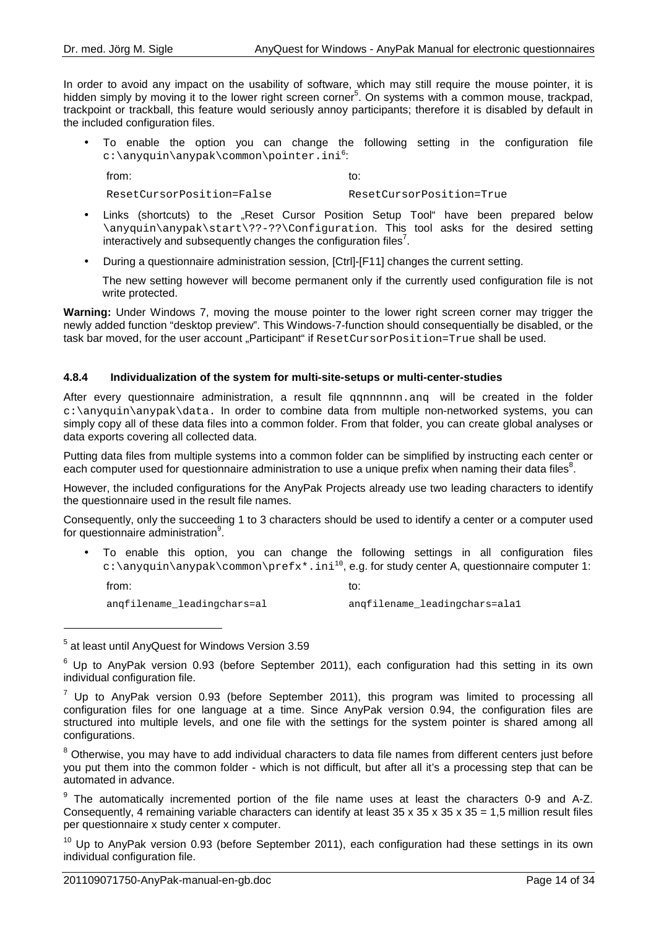In order to avoid any impact on the usability of software, which may still require the mouse pointer, it is hidden simply by moving it to the lower right screen corner<sup>5</sup>. On systems with a common mouse, trackpad, trackpoint or trackball, this feature would seriously annoy participants; therefore it is disabled by default in the included configuration files.

• To enable the option you can change the following setting in the configuration file c:\anyquin\anypak\common\pointer.ini<sup>6</sup>:

from: to:

ResetCursorPosition=False ResetCursorPosition=True

- Links (shortcuts) to the "Reset Cursor Position Setup Tool" have been prepared below \anyquin\anypak\start\??-??\Configuration. This tool asks for the desired setting interactively and subsequently changes the configuration files<sup>7</sup>.
- During a questionnaire administration session, [Ctrl]-[F11] changes the current setting.

The new setting however will become permanent only if the currently used configuration file is not write protected.

**Warning:** Under Windows 7, moving the mouse pointer to the lower right screen corner may trigger the newly added function "desktop preview". This Windows-7-function should consequentially be disabled, or the task bar moved, for the user account "Participant" if ResetCursorPosition=True shall be used.

#### **4.8.4 Individualization of the system for multi-site-setups or multi-center-studies**

After every questionnaire administration, a result file qqnnnnnn.anq will be created in the folder c:\anyquin\anypak\data. In order to combine data from multiple non-networked systems, you can simply copy all of these data files into a common folder. From that folder, you can create global analyses or data exports covering all collected data.

Putting data files from multiple systems into a common folder can be simplified by instructing each center or each computer used for questionnaire administration to use a unique prefix when naming their data files<sup>8</sup>.

However, the included configurations for the AnyPak Projects already use two leading characters to identify the questionnaire used in the result file names.

Consequently, only the succeeding 1 to 3 characters should be used to identify a center or a computer used for questionnaire administration<sup>9</sup>.

• To enable this option, you can change the following settings in all configuration files  $c:\\$ {e: \alpha\

from: to:

l

angfilename\_leadingchars=al angfilename\_leadingchars=ala1

<sup>&</sup>lt;sup>5</sup> at least until AnyQuest for Windows Version 3.59

 $^6$  Up to AnyPak version 0.93 (before September 2011), each configuration had this setting in its own individual configuration file.

 $^7$  Up to AnyPak version 0.93 (before September 2011), this program was limited to processing all configuration files for one language at a time. Since AnyPak version 0.94, the configuration files are structured into multiple levels, and one file with the settings for the system pointer is shared among all configurations.

 $^8$  Otherwise, you may have to add individual characters to data file names from different centers just before you put them into the common folder - which is not difficult, but after all it's a processing step that can be automated in advance.

 $9$  The automatically incremented portion of the file name uses at least the characters 0-9 and A-Z. Consequently, 4 remaining variable characters can identify at least  $35 \times 35 \times 35 \times 35 = 1,5$  million result files per questionnaire x study center x computer.

 $10$  Up to AnyPak version 0.93 (before September 2011), each configuration had these settings in its own individual configuration file.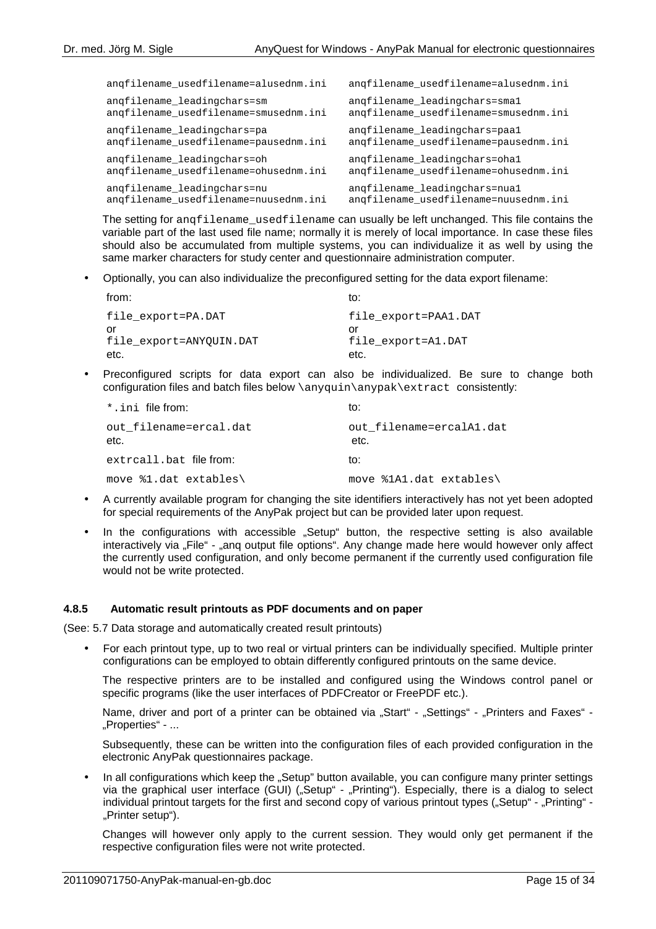| angfilename_usedfilename=alusednm.ini | angfilename_usedfilename=alusednm.ini |
|---------------------------------------|---------------------------------------|
| angfilename_leadingchars=sm           | angfilename leadingchars=smal         |
| angfilename usedfilename=smusednm.ini | angfilename usedfilename=smusednm.ini |
| angfilename_leadingchars=pa           | angfilename leadingchars=paal         |
| angfilename_usedfilename=pausednm.ini | angfilename usedfilename=pausednm.ini |
| angfilename_leadingchars=oh           | angfilename leadingchars=ohal         |
| angfilename_usedfilename=ohusednm.ini | angfilename usedfilename=ohusednm.ini |
| angfilename_leadingchars=nu           | angfilename leadingchars=nual         |
| angfilename usedfilename=nuusednm.ini | angfilename usedfilename=nuusednm.ini |

The setting for angfilename usedfilename can usually be left unchanged. This file contains the variable part of the last used file name; normally it is merely of local importance. In case these files should also be accumulated from multiple systems, you can individualize it as well by using the same marker characters for study center and questionnaire administration computer.

• Optionally, you can also individualize the preconfigured setting for the data export filename:

| from:                   | to:                  |
|-------------------------|----------------------|
| file export=PA.DAT      | file export=PAA1.DAT |
| Ωr                      | Ωľ                   |
| file export=ANYOUIN.DAT | file export=A1.DAT   |
| etc.                    | etc.                 |

• Preconfigured scripts for data export can also be individualized. Be sure to change both configuration files and batch files below \anyquin\anypak\extract consistently:

| *.ini file from:               | to:                              |
|--------------------------------|----------------------------------|
| out filename=ercal.dat<br>etc. | out filename=ercalA1.dat<br>etc. |
| extrcall.bat file from:        | to:                              |
| move \$1.dat extables\         | move %1A1.dat extables\          |

- A currently available program for changing the site identifiers interactively has not yet been adopted for special requirements of the AnyPak project but can be provided later upon request.
- In the configurations with accessible "Setup" button, the respective setting is also available interactively via "File" - "anq output file options". Any change made here would however only affect the currently used configuration, and only become permanent if the currently used configuration file would not be write protected.

#### **4.8.5 Automatic result printouts as PDF documents and on paper**

(See: 5.7 Data storage and automatically created result printouts)

• For each printout type, up to two real or virtual printers can be individually specified. Multiple printer configurations can be employed to obtain differently configured printouts on the same device.

The respective printers are to be installed and configured using the Windows control panel or specific programs (like the user interfaces of PDFCreator or FreePDF etc.).

Name, driver and port of a printer can be obtained via "Start" - "Settings" - "Printers and Faxes" -.,Properties" - ...

Subsequently, these can be written into the configuration files of each provided configuration in the electronic AnyPak questionnaires package.

In all configurations which keep the "Setup" button available, you can configure many printer settings via the graphical user interface (GUI) ("Setup" - "Printing"). Especially, there is a dialog to select individual printout targets for the first and second copy of various printout types ("Setup" - "Printing" -"Printer setup").

Changes will however only apply to the current session. They would only get permanent if the respective configuration files were not write protected.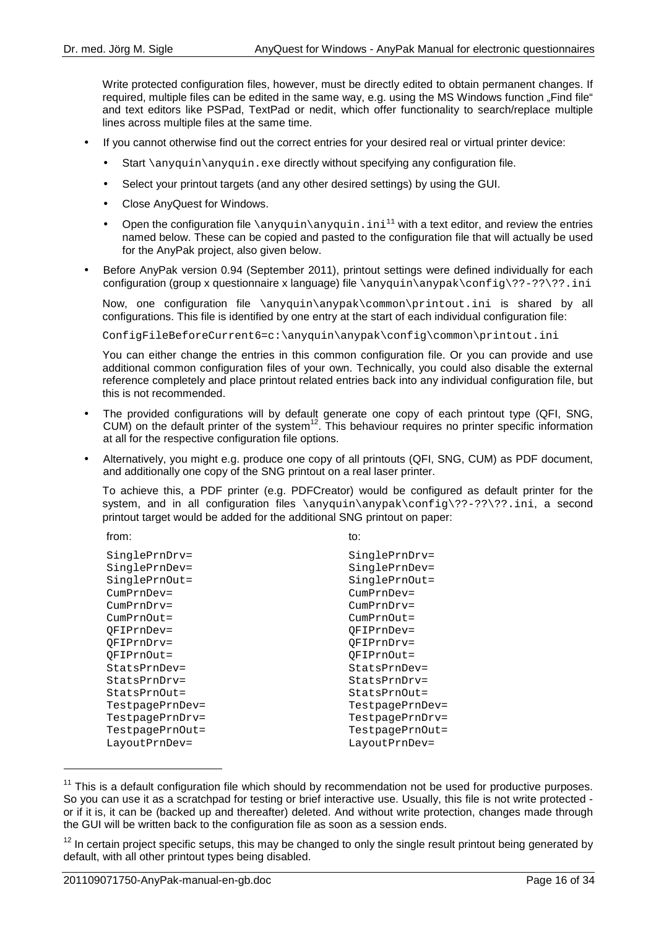Write protected configuration files, however, must be directly edited to obtain permanent changes. If required, multiple files can be edited in the same way, e.g. using the MS Windows function "Find file" and text editors like PSPad, TextPad or nedit, which offer functionality to search/replace multiple lines across multiple files at the same time.

- If you cannot otherwise find out the correct entries for your desired real or virtual printer device:
	- Start \anyquin\anyquin.exe directly without specifying any configuration file.
	- Select your printout targets (and any other desired settings) by using the GUI.
	- Close AnyQuest for Windows.
	- Open the configuration file  $\angl{anyquin\angl{anyquin.ini}^{11}}$  with a text editor, and review the entries named below. These can be copied and pasted to the configuration file that will actually be used for the AnyPak project, also given below.
- Before AnyPak version 0.94 (September 2011), printout settings were defined individually for each configuration (group x questionnaire x language) file  $\anyquin\anypak\config\??-??$ ?.ini

Now, one configuration file \anyquin\anypak\common\printout.ini is shared by all configurations. This file is identified by one entry at the start of each individual configuration file:

ConfigFileBeforeCurrent6=c:\anyquin\anypak\config\common\printout.ini

You can either change the entries in this common configuration file. Or you can provide and use additional common configuration files of your own. Technically, you could also disable the external reference completely and place printout related entries back into any individual configuration file, but this is not recommended.

- The provided configurations will by default generate one copy of each printout type (QFI, SNG, CUM) on the default printer of the system<sup>12</sup>. This behaviour requires no printer specific information at all for the respective configuration file options.
- Alternatively, you might e.g. produce one copy of all printouts (QFI, SNG, CUM) as PDF document, and additionally one copy of the SNG printout on a real laser printer.

To achieve this, a PDF printer (e.g. PDFCreator) would be configured as default printer for the system, and in all configuration files \anyquin\anypak\config\??-??\??.ini, a second printout target would be added for the additional SNG printout on paper:

from: to:

 $\overline{a}$ 

| SinglePrnDrv=   | SinglePrnDrv=   |
|-----------------|-----------------|
| SinglePrnDev=   | SinglePrnDev=   |
| SinglePrnOut=   | SinglePrnOut=   |
| $CumprnDev =$   | $CumprnDev =$   |
| $CumprnDrv =$   | $CumprnDrv =$   |
| $CumprnOut =$   | $CumprnOut =$   |
| OFIPrnDev=      | OFIPrnDev=      |
| OFIPrnDrv=      | OFIPrnDrv=      |
| OFIPrnOut=      | OFIPrnOut=      |
| StatsPrnDev=    | StatsPrnDev=    |
| StatsPrnDrv=    | StatsPrnDrv=    |
| StatsPrnOut=    | StatsPrnOut=    |
| TestpagePrnDev= | TestpagePrnDev= |
| TestpagePrnDrv= | TestpagePrnDrv= |
| TestpagePrnOut= | TestpagePrnOut= |
| LayoutPrnDev=   | LayoutPrnDev=   |
|                 |                 |

 $11$  This is a default configuration file which should by recommendation not be used for productive purposes. So you can use it as a scratchpad for testing or brief interactive use. Usually, this file is not write protected or if it is, it can be (backed up and thereafter) deleted. And without write protection, changes made through the GUI will be written back to the configuration file as soon as a session ends.

 $12$  In certain project specific setups, this may be changed to only the single result printout being generated by default, with all other printout types being disabled.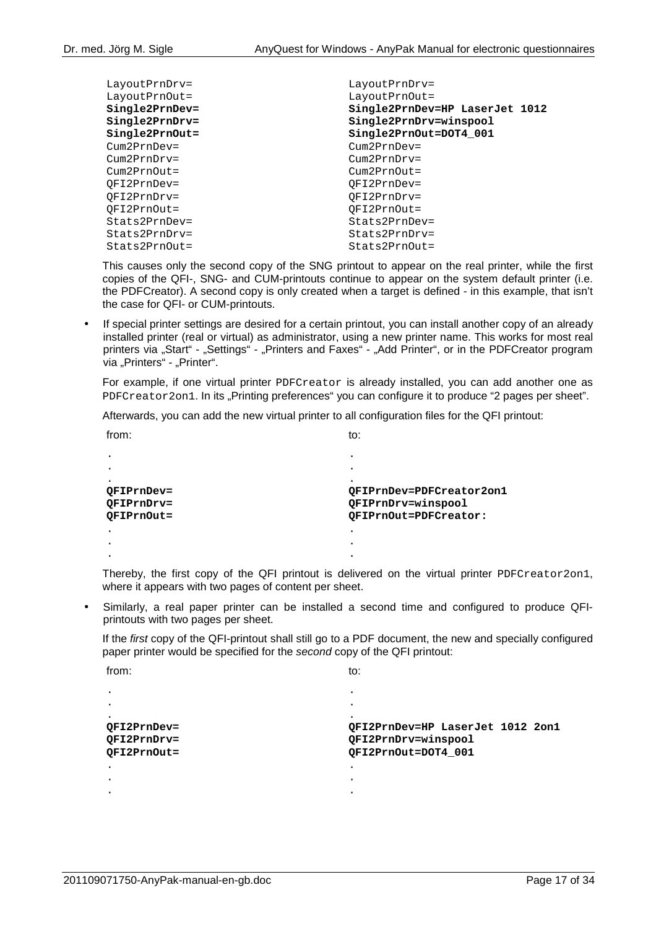| LayoutPrnDrv=     | LayoutPrnDrv=                  |
|-------------------|--------------------------------|
| LayoutPrnOut=     | LayoutPrnOut=                  |
| Single2PrnDev=    | Single2PrnDev=HP LaserJet 1012 |
| Single2PrnDrv=    | Single2PrnDrv=winspool         |
| $Single2PrnOut =$ | Single2PrnOut=DOT4 001         |
| $Cum2PrnDev =$    | $Cum2PrnDev =$                 |
| $Cum2PrnDrv =$    | $Cum2PrnDrv =$                 |
| $Cum2PrnOut =$    | $Cum2PrnOut =$                 |
| OFI2PrnDev=       | $OF12PrnDev =$                 |
| OFI2PrnDrv=       | OFI2PrnDrv=                    |
| OFI2PrnOut=       | OFI2PrnOut=                    |
| Stats2PrnDev=     | Stats2PrnDev=                  |
| Stats2PrnDrv=     | $Stats2PrnDrv =$               |
| $Stats2PrnOut =$  | $Stats2PrnOut =$               |

This causes only the second copy of the SNG printout to appear on the real printer, while the first copies of the QFI-, SNG- and CUM-printouts continue to appear on the system default printer (i.e. the PDFCreator). A second copy is only created when a target is defined - in this example, that isn't the case for QFI- or CUM-printouts.

• If special printer settings are desired for a certain printout, you can install another copy of an already installed printer (real or virtual) as administrator, using a new printer name. This works for most real printers via "Start" - "Settings" - "Printers and Faxes" - "Add Printer", or in the PDFCreator program via "Printers" - "Printer".

For example, if one virtual printer PDFCreator is already installed, you can add another one as PDFCreator2on1. In its "Printing preferences" you can configure it to produce "2 pages per sheet".

Afterwards, you can add the new virtual printer to all configuration files for the QFI printout:

| from:      | to:                      |
|------------|--------------------------|
|            |                          |
|            | ٠                        |
|            |                          |
| OFIPrnDev= | OFIPrnDev=PDFCreator2on1 |
| OFIPrnDrv= | QFIPrnDrv=winspool       |
| OFIPrnOut= | OFIPrnOut=PDFCreator:    |
|            |                          |
|            | ۰                        |
|            |                          |

Thereby, the first copy of the QFI printout is delivered on the virtual printer PDFCreator2on1, where it appears with two pages of content per sheet.

• Similarly, a real paper printer can be installed a second time and configured to produce QFIprintouts with two pages per sheet.

If the first copy of the QFI-printout shall still go to a PDF document, the new and specially configured paper printer would be specified for the second copy of the QFI printout:

| to:                              |
|----------------------------------|
|                                  |
|                                  |
|                                  |
| OFI2PrnDev=HP LaserJet 1012 2on1 |
| QFI2PrnDrv=winspool              |
| OFI2PrnOut=DOT4 001              |
|                                  |
|                                  |
|                                  |
|                                  |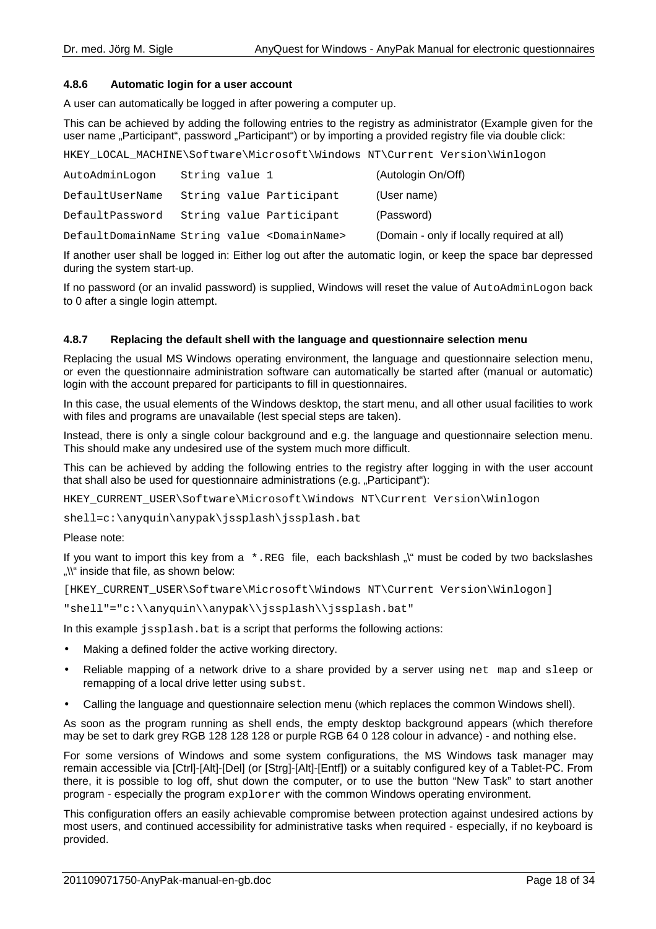## **4.8.6 Automatic login for a user account**

A user can automatically be logged in after powering a computer up.

This can be achieved by adding the following entries to the registry as administrator (Example given for the user name "Participant", password "Participant") or by importing a provided registry file via double click:

HKEY\_LOCAL\_MACHINE\Software\Microsoft\Windows NT\Current Version\Winlogon

| AutoAdminLogon                                           | String value 1 |                          | (Autologin On/Off)                         |
|----------------------------------------------------------|----------------|--------------------------|--------------------------------------------|
| DefaultUserName                                          |                | String value Participant | (User name)                                |
| DefaultPassword                                          |                | String value Participant | (Password)                                 |
| DefaultDomainName String value <domainname></domainname> |                |                          | (Domain - only if locally required at all) |

If another user shall be logged in: Either log out after the automatic login, or keep the space bar depressed during the system start-up.

If no password (or an invalid password) is supplied, Windows will reset the value of AutoAdminLogon back to 0 after a single login attempt.

## **4.8.7 Replacing the default shell with the language and questionnaire selection menu**

Replacing the usual MS Windows operating environment, the language and questionnaire selection menu, or even the questionnaire administration software can automatically be started after (manual or automatic) login with the account prepared for participants to fill in questionnaires.

In this case, the usual elements of the Windows desktop, the start menu, and all other usual facilities to work with files and programs are unavailable (lest special steps are taken).

Instead, there is only a single colour background and e.g. the language and questionnaire selection menu. This should make any undesired use of the system much more difficult.

This can be achieved by adding the following entries to the registry after logging in with the user account that shall also be used for questionnaire administrations (e.g. "Participant"):

HKEY\_CURRENT\_USER\Software\Microsoft\Windows NT\Current Version\Winlogon

shell=c:\anyquin\anypak\jssplash\jssplash.bat

#### Please note:

If you want to import this key from  $a \cdot REG$  file, each backshlash  $\sqrt{N}$  must be coded by two backslashes "\\" inside that file, as shown below:

[HKEY\_CURRENT\_USER\Software\Microsoft\Windows NT\Current Version\Winlogon]

"shell"="c:\\anyquin\\anypak\\jssplash\\jssplash.bat"

In this example jssplash.bat is a script that performs the following actions:

- Making a defined folder the active working directory.
- Reliable mapping of a network drive to a share provided by a server using net map and sleep or remapping of a local drive letter using subst.
- Calling the language and questionnaire selection menu (which replaces the common Windows shell).

As soon as the program running as shell ends, the empty desktop background appears (which therefore may be set to dark grey RGB 128 128 128 or purple RGB 64 0 128 colour in advance) - and nothing else.

For some versions of Windows and some system configurations, the MS Windows task manager may remain accessible via [Ctrl]-[Alt]-[Del] (or [Strg]-[Alt]-[Entf]) or a suitably configured key of a Tablet-PC. From there, it is possible to log off, shut down the computer, or to use the button "New Task" to start another program - especially the program explorer with the common Windows operating environment.

This configuration offers an easily achievable compromise between protection against undesired actions by most users, and continued accessibility for administrative tasks when required - especially, if no keyboard is provided.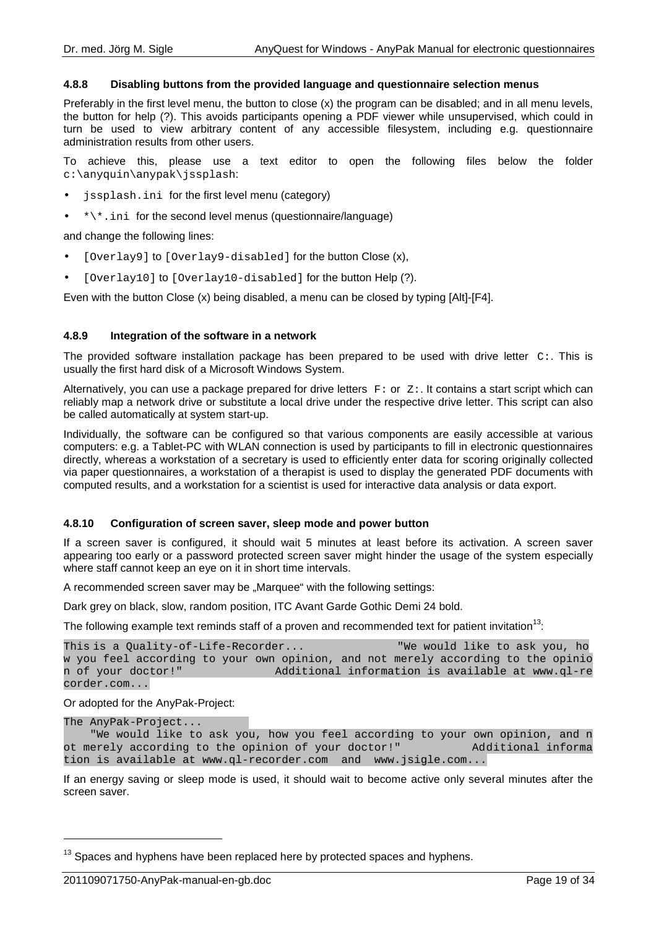## **4.8.8 Disabling buttons from the provided language and questionnaire selection menus**

Preferably in the first level menu, the button to close (x) the program can be disabled; and in all menu levels, the button for help (?). This avoids participants opening a PDF viewer while unsupervised, which could in turn be used to view arbitrary content of any accessible filesystem, including e.g. questionnaire administration results from other users.

To achieve this, please use a text editor to open the following files below the folder c:\anyquin\anypak\jssplash:

- jssplash.ini for the first level menu (category)
- $\bullet$  \*\\*.ini for the second level menus (questionnaire/language)

and change the following lines:

- [Overlay9] to [Overlay9-disabled] for the button Close (x),
- [Overlay10] to [Overlay10-disabled] for the button Help (?).

Even with the button Close (x) being disabled, a menu can be closed by typing [Alt]-[F4].

## **4.8.9 Integration of the software in a network**

The provided software installation package has been prepared to be used with drive letter  $C:$ . This is usually the first hard disk of a Microsoft Windows System.

Alternatively, you can use a package prepared for drive letters  $F:$  or  $Z:$ . It contains a start script which can reliably map a network drive or substitute a local drive under the respective drive letter. This script can also be called automatically at system start-up.

Individually, the software can be configured so that various components are easily accessible at various computers: e.g. a Tablet-PC with WLAN connection is used by participants to fill in electronic questionnaires directly, whereas a workstation of a secretary is used to efficiently enter data for scoring originally collected via paper questionnaires, a workstation of a therapist is used to display the generated PDF documents with computed results, and a workstation for a scientist is used for interactive data analysis or data export.

#### **4.8.10 Configuration of screen saver, sleep mode and power button**

If a screen saver is configured, it should wait 5 minutes at least before its activation. A screen saver appearing too early or a password protected screen saver might hinder the usage of the system especially where staff cannot keep an eye on it in short time intervals.

A recommended screen saver may be "Marquee" with the following settings:

Dark grey on black, slow, random position, ITC Avant Garde Gothic Demi 24 bold.

The following example text reminds staff of a proven and recommended text for patient invitation<sup>13</sup>:

```
This is a Quality-of-Life-Recorder... "We would like to ask you, ho
w you feel according to your own opinion, and not merely according to the opinio
n of your doctor!" Additional information is available at www.ql-re
corder.com...
```
Or adopted for the AnyPak-Project:

```
The AnyPak-Project... 
     We would like to ask you, how you feel according to your own opinion, and n<br>erely according to the opinion of your doctor!" Additional informa
ot merely according to the opinion of your doctor!"
tion is available at www.ql-recorder.com and www.jsigle.com...
```
If an energy saving or sleep mode is used, it should wait to become active only several minutes after the screen saver.

 $\overline{a}$ 

 $13$  Spaces and hyphens have been replaced here by protected spaces and hyphens.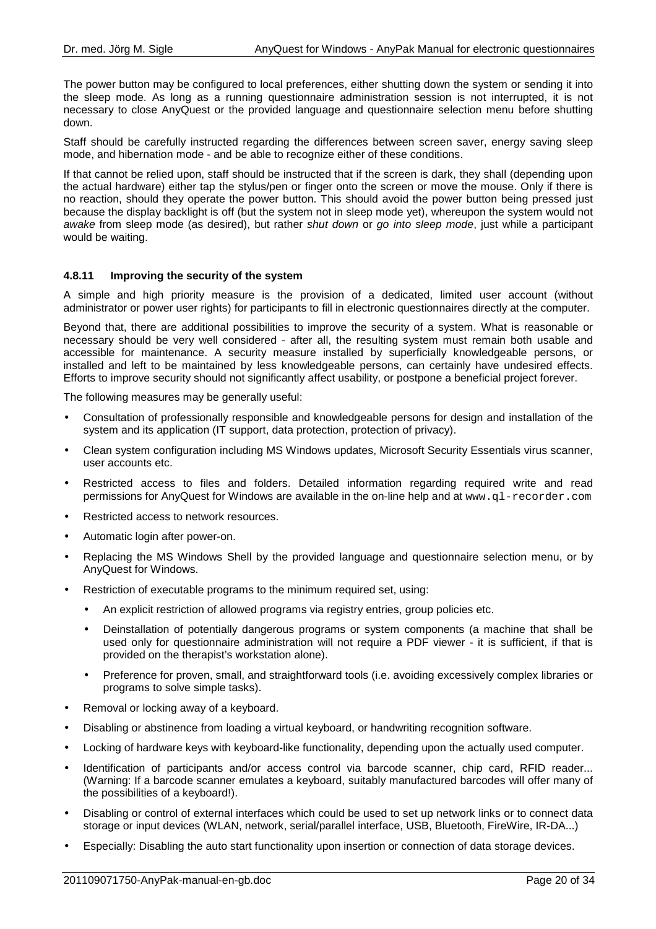The power button may be configured to local preferences, either shutting down the system or sending it into the sleep mode. As long as a running questionnaire administration session is not interrupted, it is not necessary to close AnyQuest or the provided language and questionnaire selection menu before shutting down.

Staff should be carefully instructed regarding the differences between screen saver, energy saving sleep mode, and hibernation mode - and be able to recognize either of these conditions.

If that cannot be relied upon, staff should be instructed that if the screen is dark, they shall (depending upon the actual hardware) either tap the stylus/pen or finger onto the screen or move the mouse. Only if there is no reaction, should they operate the power button. This should avoid the power button being pressed just because the display backlight is off (but the system not in sleep mode yet), whereupon the system would not awake from sleep mode (as desired), but rather shut down or go into sleep mode, just while a participant would be waiting.

## **4.8.11 Improving the security of the system**

A simple and high priority measure is the provision of a dedicated, limited user account (without administrator or power user rights) for participants to fill in electronic questionnaires directly at the computer.

Beyond that, there are additional possibilities to improve the security of a system. What is reasonable or necessary should be very well considered - after all, the resulting system must remain both usable and accessible for maintenance. A security measure installed by superficially knowledgeable persons, or installed and left to be maintained by less knowledgeable persons, can certainly have undesired effects. Efforts to improve security should not significantly affect usability, or postpone a beneficial project forever.

The following measures may be generally useful:

- Consultation of professionally responsible and knowledgeable persons for design and installation of the system and its application (IT support, data protection, protection of privacy).
- Clean system configuration including MS Windows updates, Microsoft Security Essentials virus scanner, user accounts etc.
- Restricted access to files and folders. Detailed information regarding required write and read permissions for AnyQuest for Windows are available in the on-line help and at www.ql-recorder.com
- Restricted access to network resources.
- Automatic login after power-on.
- Replacing the MS Windows Shell by the provided language and questionnaire selection menu, or by AnyQuest for Windows.
- Restriction of executable programs to the minimum required set, using:
	- An explicit restriction of allowed programs via registry entries, group policies etc.
	- Deinstallation of potentially dangerous programs or system components (a machine that shall be used only for questionnaire administration will not require a PDF viewer - it is sufficient, if that is provided on the therapist's workstation alone).
	- Preference for proven, small, and straightforward tools (i.e. avoiding excessively complex libraries or programs to solve simple tasks).
- Removal or locking away of a keyboard.
- Disabling or abstinence from loading a virtual keyboard, or handwriting recognition software.
- Locking of hardware keys with keyboard-like functionality, depending upon the actually used computer.
- Identification of participants and/or access control via barcode scanner, chip card, RFID reader... (Warning: If a barcode scanner emulates a keyboard, suitably manufactured barcodes will offer many of the possibilities of a keyboard!).
- Disabling or control of external interfaces which could be used to set up network links or to connect data storage or input devices (WLAN, network, serial/parallel interface, USB, Bluetooth, FireWire, IR-DA...)
- Especially: Disabling the auto start functionality upon insertion or connection of data storage devices.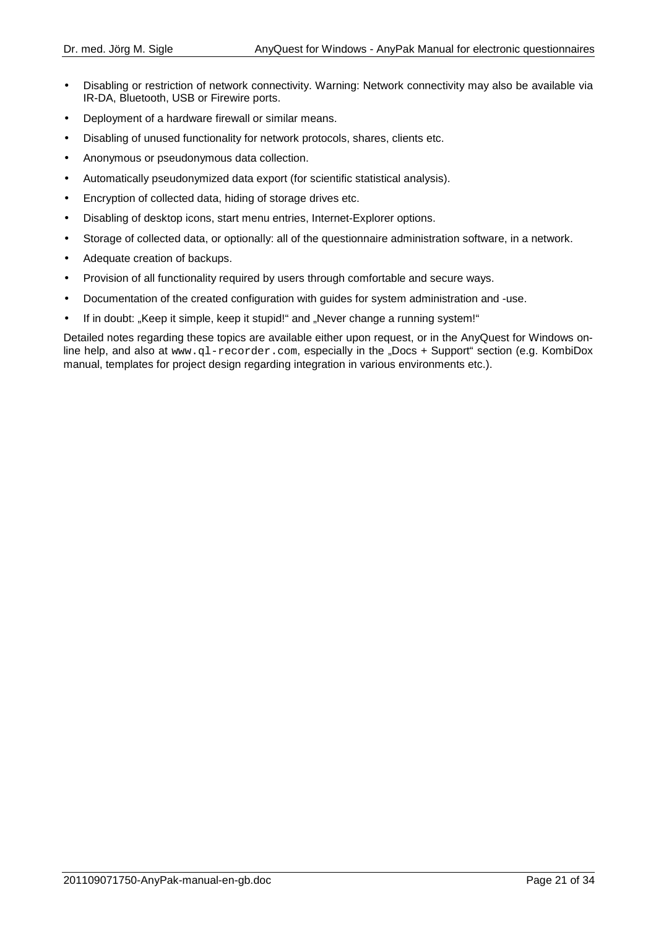- Disabling or restriction of network connectivity. Warning: Network connectivity may also be available via IR-DA, Bluetooth, USB or Firewire ports.
- Deployment of a hardware firewall or similar means.
- Disabling of unused functionality for network protocols, shares, clients etc.
- Anonymous or pseudonymous data collection.
- Automatically pseudonymized data export (for scientific statistical analysis).
- Encryption of collected data, hiding of storage drives etc.
- Disabling of desktop icons, start menu entries, Internet-Explorer options.
- Storage of collected data, or optionally: all of the questionnaire administration software, in a network.
- Adequate creation of backups.
- Provision of all functionality required by users through comfortable and secure ways.
- Documentation of the created configuration with guides for system administration and -use.
- If in doubt: "Keep it simple, keep it stupid!" and "Never change a running system!"

Detailed notes regarding these topics are available either upon request, or in the AnyQuest for Windows online help, and also at www.ql-recorder.com, especially in the "Docs + Support" section (e.g. KombiDox manual, templates for project design regarding integration in various environments etc.).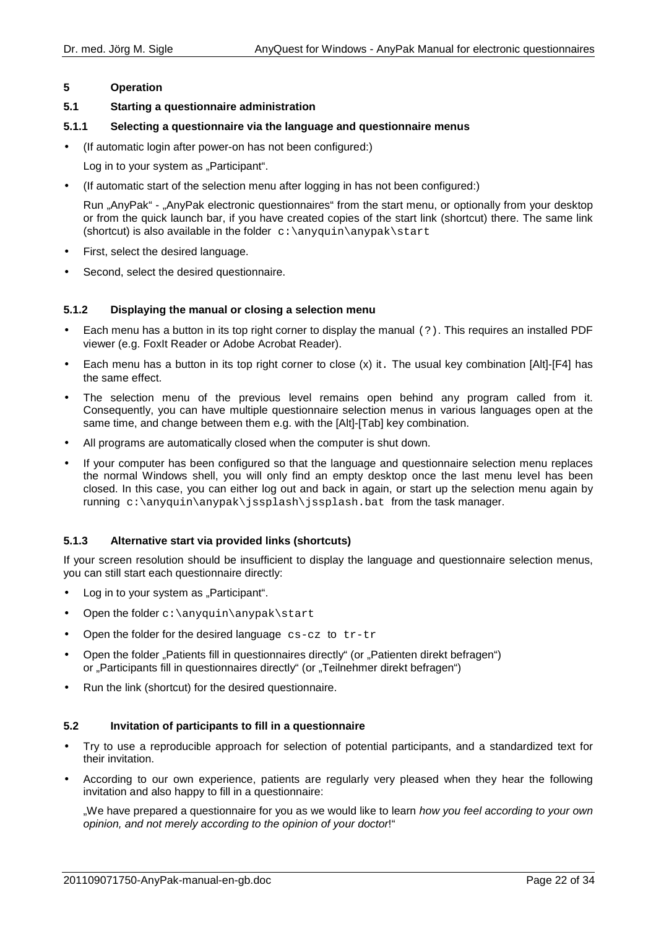## **5 Operation**

## **5.1 Starting a questionnaire administration**

## **5.1.1 Selecting a questionnaire via the language and questionnaire menus**

• (If automatic login after power-on has not been configured:)

Log in to your system as "Participant".

• (If automatic start of the selection menu after logging in has not been configured:)

Run "AnyPak" - "AnyPak electronic questionnaires" from the start menu, or optionally from your desktop or from the quick launch bar, if you have created copies of the start link (shortcut) there. The same link (shortcut) is also available in the folder  $c:\\anyquin\anypak\start$ 

- First, select the desired language.
- Second, select the desired questionnaire.

## **5.1.2 Displaying the manual or closing a selection menu**

- Each menu has a button in its top right corner to display the manual (?). This requires an installed PDF viewer (e.g. FoxIt Reader or Adobe Acrobat Reader).
- Each menu has a button in its top right corner to close (x) it. The usual key combination [Alt]-[F4] has the same effect.
- The selection menu of the previous level remains open behind any program called from it. Consequently, you can have multiple questionnaire selection menus in various languages open at the same time, and change between them e.g. with the [Alt]-[Tab] key combination.
- All programs are automatically closed when the computer is shut down.
- If your computer has been configured so that the language and questionnaire selection menu replaces the normal Windows shell, you will only find an empty desktop once the last menu level has been closed. In this case, you can either log out and back in again, or start up the selection menu again by running  $c:\anyquin\an\psi\$  issplash\issplash.bat from the task manager.

## **5.1.3 Alternative start via provided links (shortcuts)**

If your screen resolution should be insufficient to display the language and questionnaire selection menus, you can still start each questionnaire directly:

- Log in to your system as "Participant".
- Open the folder  $c:\\any{quin\anypak\statile}$
- Open the folder for the desired language  $cs-cz$  to  $tr-tr$
- Open the folder "Patients fill in questionnaires directly" (or "Patienten direkt befragen") or "Participants fill in questionnaires directly" (or "Teilnehmer direkt befragen")
- Run the link (shortcut) for the desired questionnaire.

## **5.2 Invitation of participants to fill in a questionnaire**

- Try to use a reproducible approach for selection of potential participants, and a standardized text for their invitation.
- According to our own experience, patients are regularly very pleased when they hear the following invitation and also happy to fill in a questionnaire:

..We have prepared a questionnaire for you as we would like to learn how you feel according to your own opinion, and not merely according to the opinion of your doctor!"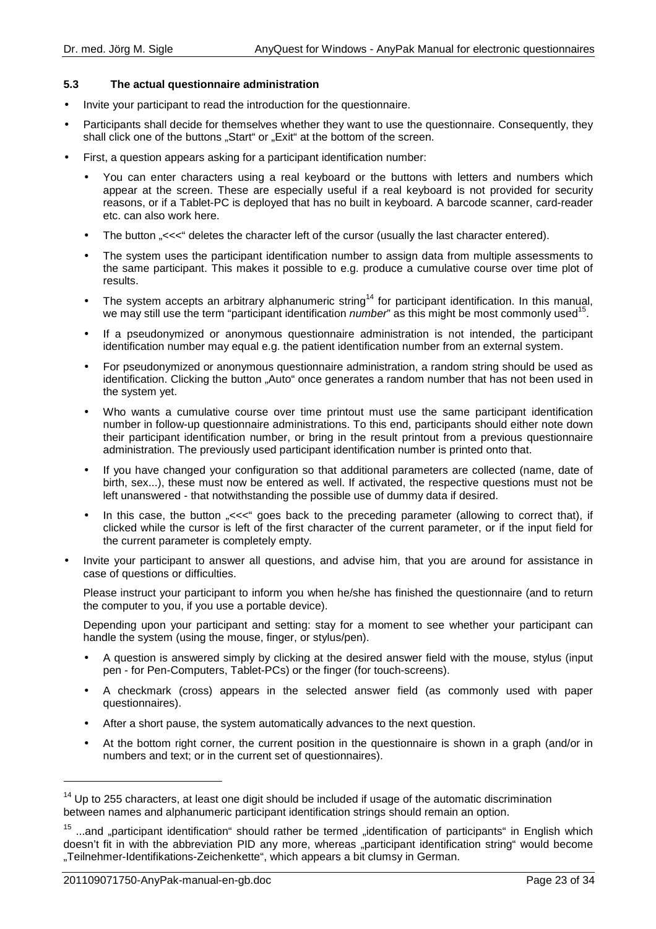## **5.3 The actual questionnaire administration**

- Invite your participant to read the introduction for the questionnaire.
- Participants shall decide for themselves whether they want to use the questionnaire. Consequently, they shall click one of the buttons "Start" or "Exit" at the bottom of the screen.
- First, a question appears asking for a participant identification number:
	- You can enter characters using a real keyboard or the buttons with letters and numbers which appear at the screen. These are especially useful if a real keyboard is not provided for security reasons, or if a Tablet-PC is deployed that has no built in keyboard. A barcode scanner, card-reader etc. can also work here.
	- The button "<<<" deletes the character left of the cursor (usually the last character entered).
	- The system uses the participant identification number to assign data from multiple assessments to the same participant. This makes it possible to e.g. produce a cumulative course over time plot of results.
	- The system accepts an arbitrary alphanumeric string<sup>14</sup> for participant identification. In this manual, we may still use the term "participant identification *number*" as this might be most commonly used<sup>15</sup> .
	- If a pseudonymized or anonymous questionnaire administration is not intended, the participant identification number may equal e.g. the patient identification number from an external system.
	- For pseudonymized or anonymous questionnaire administration, a random string should be used as identification. Clicking the button "Auto" once generates a random number that has not been used in the system yet.
	- Who wants a cumulative course over time printout must use the same participant identification number in follow-up questionnaire administrations. To this end, participants should either note down their participant identification number, or bring in the result printout from a previous questionnaire administration. The previously used participant identification number is printed onto that.
	- If you have changed your configuration so that additional parameters are collected (name, date of birth, sex...), these must now be entered as well. If activated, the respective questions must not be left unanswered - that notwithstanding the possible use of dummy data if desired.
	- In this case, the button "<<<" goes back to the preceding parameter (allowing to correct that), if clicked while the cursor is left of the first character of the current parameter, or if the input field for the current parameter is completely empty.
- Invite your participant to answer all questions, and advise him, that you are around for assistance in case of questions or difficulties.

Please instruct your participant to inform you when he/she has finished the questionnaire (and to return the computer to you, if you use a portable device).

Depending upon your participant and setting: stay for a moment to see whether your participant can handle the system (using the mouse, finger, or stylus/pen).

- A question is answered simply by clicking at the desired answer field with the mouse, stylus (input pen - for Pen-Computers, Tablet-PCs) or the finger (for touch-screens).
- A checkmark (cross) appears in the selected answer field (as commonly used with paper questionnaires).
- After a short pause, the system automatically advances to the next question.
- At the bottom right corner, the current position in the questionnaire is shown in a graph (and/or in numbers and text; or in the current set of questionnaires).

l

 $14$  Up to 255 characters, at least one digit should be included if usage of the automatic discrimination between names and alphanumeric participant identification strings should remain an option.

 $15$  ...and "participant identification" should rather be termed "identification of participants" in English which doesn't fit in with the abbreviation PID any more, whereas "participant identification string" would become "Teilnehmer-Identifikations-Zeichenkette", which appears a bit clumsy in German.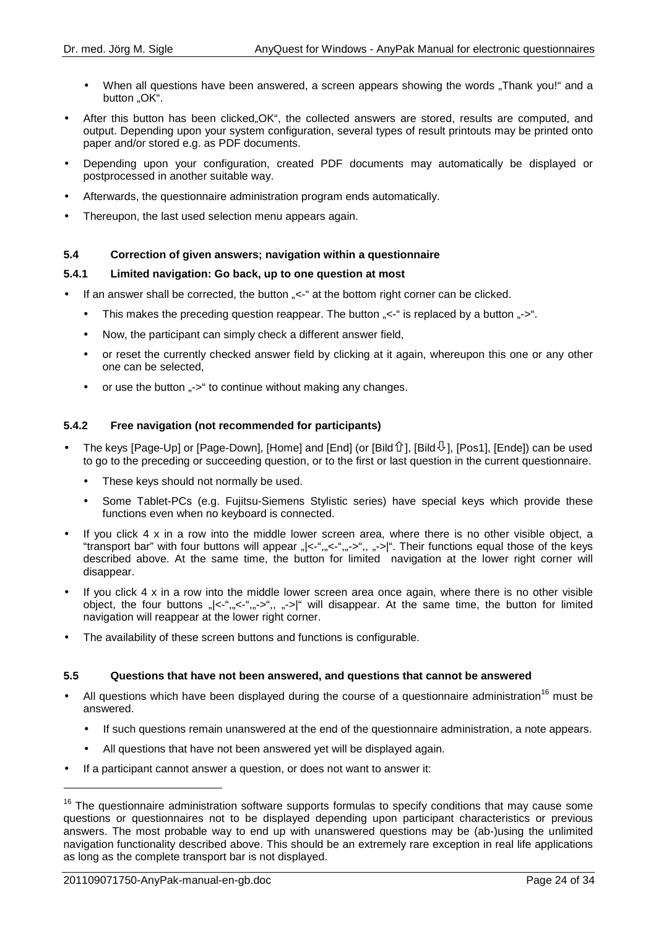- When all questions have been answered, a screen appears showing the words "Thank you!" and a button "OK".
- After this button has been clicked, OK", the collected answers are stored, results are computed, and output. Depending upon your system configuration, several types of result printouts may be printed onto paper and/or stored e.g. as PDF documents.
- Depending upon your configuration, created PDF documents may automatically be displayed or postprocessed in another suitable way.
- Afterwards, the questionnaire administration program ends automatically.
- Thereupon, the last used selection menu appears again.

## **5.4 Correction of given answers; navigation within a questionnaire**

## **5.4.1 Limited navigation: Go back, up to one question at most**

- If an answer shall be corrected, the button "<-" at the bottom right corner can be clicked.
	- This makes the preceding question reappear. The button  $\ll -1$  is replaced by a button  $\ll -1$ .
	- Now, the participant can simply check a different answer field,
	- or reset the currently checked answer field by clicking at it again, whereupon this one or any other one can be selected,
	- or use the button "->" to continue without making any changes.

## **5.4.2 Free navigation (not recommended for participants)**

- The keys [Page-Up] or [Page-Down], [Home] and [End] (or [Bild  $\hat{U}$ ], [Bild $\overline{\psi}$ ], [Pos1], [Ende]) can be used to go to the preceding or succeeding question, or to the first or last question in the current questionnaire.
	- These keys should not normally be used.
	- Some Tablet-PCs (e.g. Fujitsu-Siemens Stylistic series) have special keys which provide these functions even when no keyboard is connected.
- If you click  $4 \times$  in a row into the middle lower screen area, where there is no other visible object, a "transport bar" with four buttons will appear "|<-",,,<-",,,->",, ,->|". Their functions equal those of the keys described above. At the same time, the button for limited navigation at the lower right corner will disappear.
- If you click 4 x in a row into the middle lower screen area once again, where there is no other visible object, the four buttons "|<-","<-","->",, "->|" will disappear. At the same time, the button for limited navigation will reappear at the lower right corner.
- The availability of these screen buttons and functions is configurable.

#### **5.5 Questions that have not been answered, and questions that cannot be answered**

- All questions which have been displayed during the course of a questionnaire administration<sup>16</sup> must be answered.
	- If such questions remain unanswered at the end of the questionnaire administration, a note appears.
	- All questions that have not been answered yet will be displayed again.
- If a participant cannot answer a question, or does not want to answer it:

l

<sup>&</sup>lt;sup>16</sup> The questionnaire administration software supports formulas to specify conditions that may cause some questions or questionnaires not to be displayed depending upon participant characteristics or previous answers. The most probable way to end up with unanswered questions may be (ab-)using the unlimited navigation functionality described above. This should be an extremely rare exception in real life applications as long as the complete transport bar is not displayed.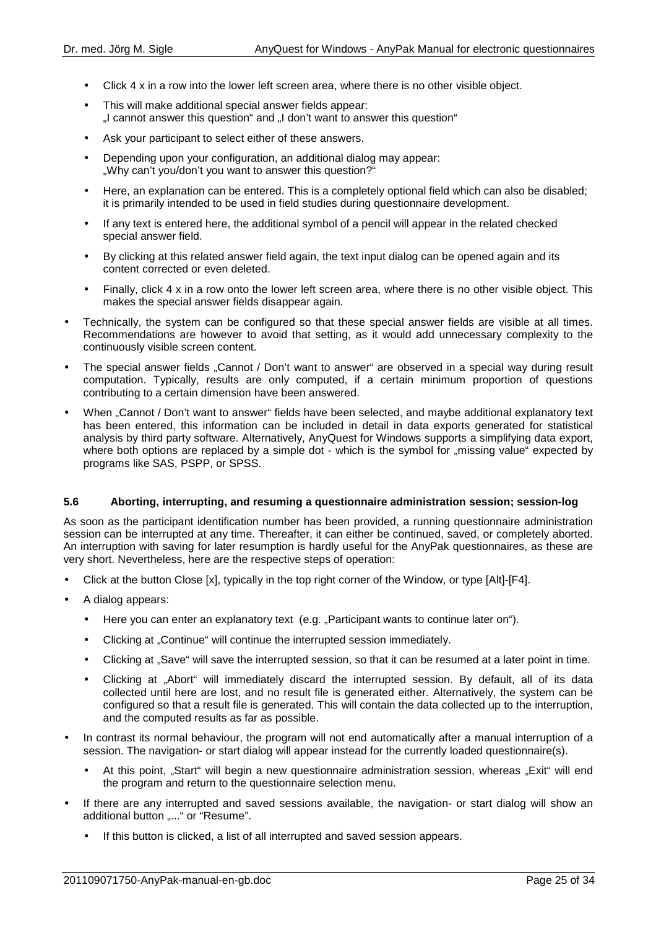- Click 4 x in a row into the lower left screen area, where there is no other visible object.
- This will make additional special answer fields appear: ...I cannot answer this question and ...I don't want to answer this question "
- Ask your participant to select either of these answers.
- Depending upon your configuration, an additional dialog may appear: "Why can't you/don't you want to answer this question?"
- Here, an explanation can be entered. This is a completely optional field which can also be disabled; it is primarily intended to be used in field studies during questionnaire development.
- If any text is entered here, the additional symbol of a pencil will appear in the related checked special answer field.
- By clicking at this related answer field again, the text input dialog can be opened again and its content corrected or even deleted.
- Finally, click 4 x in a row onto the lower left screen area, where there is no other visible object. This makes the special answer fields disappear again.
- Technically, the system can be configured so that these special answer fields are visible at all times. Recommendations are however to avoid that setting, as it would add unnecessary complexity to the continuously visible screen content.
- The special answer fields "Cannot / Don't want to answer" are observed in a special way during result computation. Typically, results are only computed, if a certain minimum proportion of questions contributing to a certain dimension have been answered.
- When "Cannot / Don't want to answer" fields have been selected, and maybe additional explanatory text has been entered, this information can be included in detail in data exports generated for statistical analysis by third party software. Alternatively, AnyQuest for Windows supports a simplifying data export, where both options are replaced by a simple dot - which is the symbol for "missing value" expected by programs like SAS, PSPP, or SPSS.

#### **5.6 Aborting, interrupting, and resuming a questionnaire administration session; session-log**

As soon as the participant identification number has been provided, a running questionnaire administration session can be interrupted at any time. Thereafter, it can either be continued, saved, or completely aborted. An interruption with saving for later resumption is hardly useful for the AnyPak questionnaires, as these are very short. Nevertheless, here are the respective steps of operation:

- Click at the button Close [x], typically in the top right corner of the Window, or type [Alt]-[F4].
- A dialog appears:
	- Here you can enter an explanatory text (e.g. "Participant wants to continue later on").
	- Clicking at "Continue" will continue the interrupted session immediately.
	- Clicking at "Save" will save the interrupted session, so that it can be resumed at a later point in time.
	- Clicking at "Abort" will immediately discard the interrupted session. By default, all of its data collected until here are lost, and no result file is generated either. Alternatively, the system can be configured so that a result file is generated. This will contain the data collected up to the interruption, and the computed results as far as possible.
- In contrast its normal behaviour, the program will not end automatically after a manual interruption of a session. The navigation- or start dialog will appear instead for the currently loaded questionnaire(s).
	- At this point. "Start" will begin a new questionnaire administration session, whereas "Exit" will end the program and return to the questionnaire selection menu.
- If there are any interrupted and saved sessions available, the navigation- or start dialog will show an additional button ....." or "Resume".
	- If this button is clicked, a list of all interrupted and saved session appears.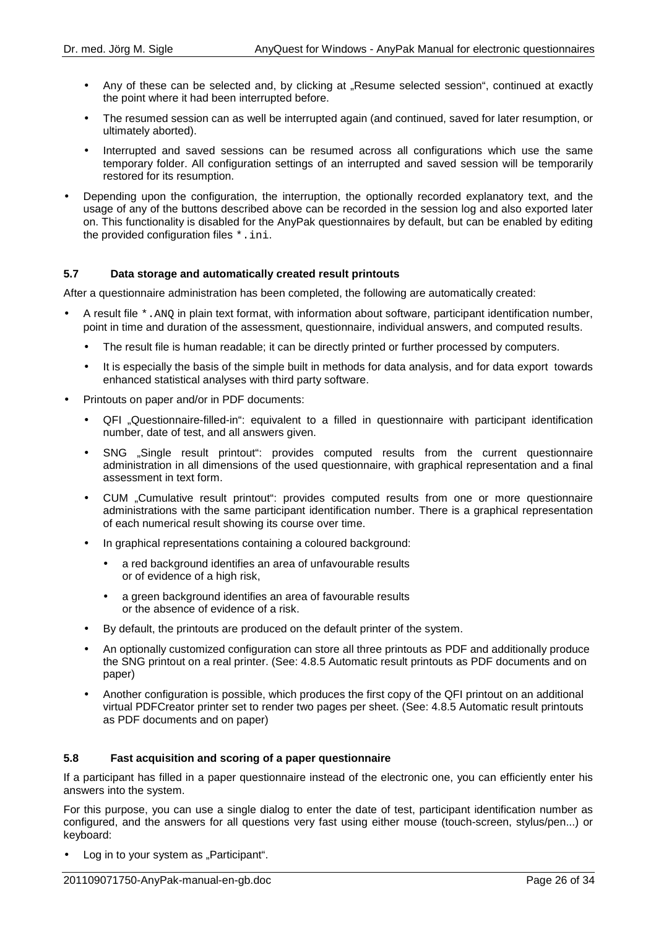- Any of these can be selected and, by clicking at "Resume selected session", continued at exactly the point where it had been interrupted before.
- The resumed session can as well be interrupted again (and continued, saved for later resumption, or ultimately aborted).
- Interrupted and saved sessions can be resumed across all configurations which use the same temporary folder. All configuration settings of an interrupted and saved session will be temporarily restored for its resumption.
- Depending upon the configuration, the interruption, the optionally recorded explanatory text, and the usage of any of the buttons described above can be recorded in the session log and also exported later on. This functionality is disabled for the AnyPak questionnaires by default, but can be enabled by editing the provided configuration files \*.ini.

## **5.7 Data storage and automatically created result printouts**

After a questionnaire administration has been completed, the following are automatically created:

- A result file \*.ANQ in plain text format, with information about software, participant identification number, point in time and duration of the assessment, questionnaire, individual answers, and computed results.
	- The result file is human readable; it can be directly printed or further processed by computers.
	- It is especially the basis of the simple built in methods for data analysis, and for data export towards enhanced statistical analyses with third party software.
- Printouts on paper and/or in PDF documents:
	- QFI "Questionnaire-filled-in": equivalent to a filled in questionnaire with participant identification number, date of test, and all answers given.
	- SNG "Single result printout": provides computed results from the current questionnaire administration in all dimensions of the used questionnaire, with graphical representation and a final assessment in text form.
	- CUM "Cumulative result printout": provides computed results from one or more questionnaire administrations with the same participant identification number. There is a graphical representation of each numerical result showing its course over time.
	- In graphical representations containing a coloured background:
		- a red background identifies an area of unfavourable results or of evidence of a high risk,
		- a green background identifies an area of favourable results or the absence of evidence of a risk.
	- By default, the printouts are produced on the default printer of the system.
	- An optionally customized configuration can store all three printouts as PDF and additionally produce the SNG printout on a real printer. (See: 4.8.5 Automatic result printouts as PDF documents and on paper)
	- Another configuration is possible, which produces the first copy of the QFI printout on an additional virtual PDFCreator printer set to render two pages per sheet. (See: 4.8.5 Automatic result printouts as PDF documents and on paper)

## **5.8 Fast acquisition and scoring of a paper questionnaire**

If a participant has filled in a paper questionnaire instead of the electronic one, you can efficiently enter his answers into the system.

For this purpose, you can use a single dialog to enter the date of test, participant identification number as configured, and the answers for all questions very fast using either mouse (touch-screen, stylus/pen...) or keyboard:

• Log in to your system as "Participant".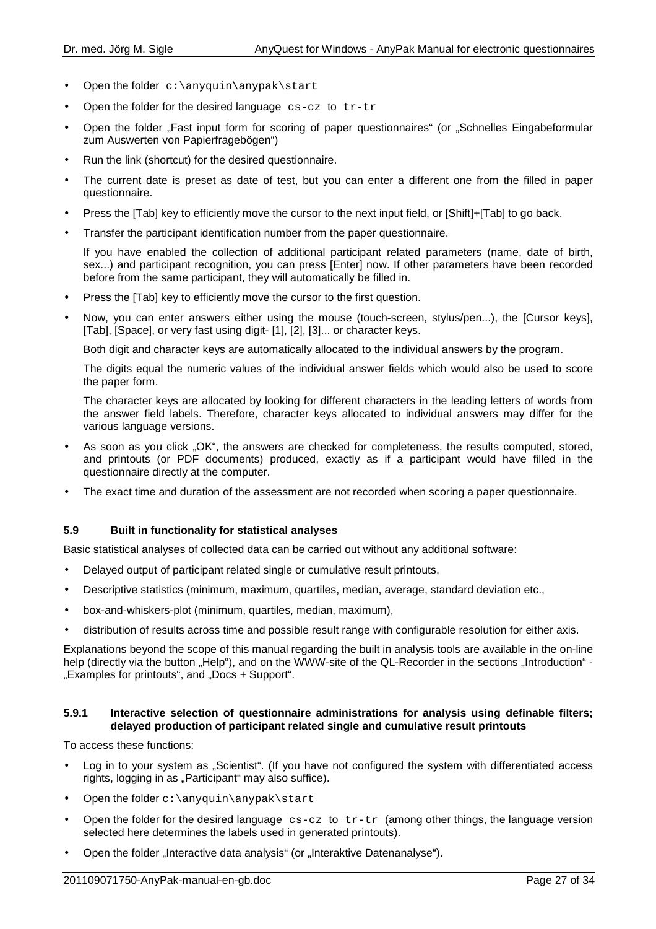- Open the folder c:\anyquin\anypak\start
- Open the folder for the desired language  $cs-cz$  to  $tr-tr$
- Open the folder "Fast input form for scoring of paper questionnaires" (or "Schnelles Eingabeformular zum Auswerten von Papierfragebögen")
- Run the link (shortcut) for the desired questionnaire.
- The current date is preset as date of test, but you can enter a different one from the filled in paper questionnaire.
- Press the [Tab] key to efficiently move the cursor to the next input field, or [Shift]+[Tab] to go back.
- Transfer the participant identification number from the paper questionnaire.

If you have enabled the collection of additional participant related parameters (name, date of birth, sex...) and participant recognition, you can press [Enter] now. If other parameters have been recorded before from the same participant, they will automatically be filled in.

- Press the [Tab] key to efficiently move the cursor to the first question.
- Now, you can enter answers either using the mouse (touch-screen, stylus/pen...), the [Cursor keys], [Tab], [Space], or very fast using digit- [1], [2], [3]... or character keys.

Both digit and character keys are automatically allocated to the individual answers by the program.

The digits equal the numeric values of the individual answer fields which would also be used to score the paper form.

The character keys are allocated by looking for different characters in the leading letters of words from the answer field labels. Therefore, character keys allocated to individual answers may differ for the various language versions.

- As soon as you click "OK", the answers are checked for completeness, the results computed, stored, and printouts (or PDF documents) produced, exactly as if a participant would have filled in the questionnaire directly at the computer.
- The exact time and duration of the assessment are not recorded when scoring a paper questionnaire.

## **5.9 Built in functionality for statistical analyses**

Basic statistical analyses of collected data can be carried out without any additional software:

- Delayed output of participant related single or cumulative result printouts,
- Descriptive statistics (minimum, maximum, quartiles, median, average, standard deviation etc.,
- box-and-whiskers-plot (minimum, quartiles, median, maximum),
- distribution of results across time and possible result range with configurable resolution for either axis.

Explanations beyond the scope of this manual regarding the built in analysis tools are available in the on-line help (directly via the button "Help"), and on the WWW-site of the QL-Recorder in the sections "Introduction" -"Examples for printouts", and "Docs + Support".

#### **5.9.1 Interactive selection of questionnaire administrations for analysis using definable filters; delayed production of participant related single and cumulative result printouts**

To access these functions:

- Log in to your system as "Scientist". (If you have not configured the system with differentiated access rights, logging in as "Participant" may also suffice).
- Open the folder  $c:\\anyquin\anypak\start$
- Open the folder for the desired language  $cs-cz$  to  $tr-tr$  (among other things, the language version selected here determines the labels used in generated printouts).
- Open the folder "Interactive data analysis" (or "Interaktive Datenanalyse").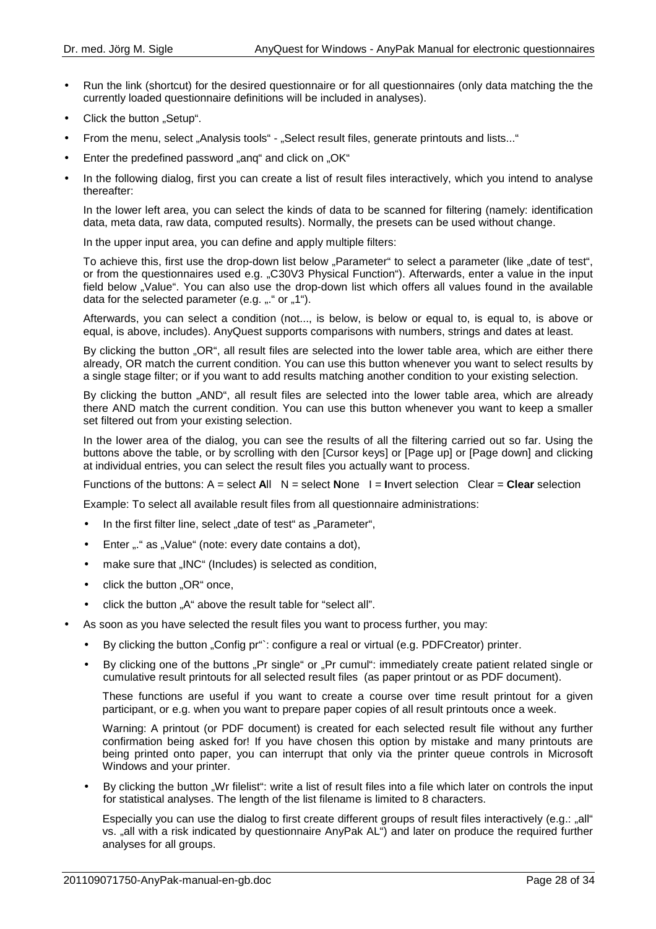- Run the link (shortcut) for the desired questionnaire or for all questionnaires (only data matching the the currently loaded questionnaire definitions will be included in analyses).
- Click the button "Setup".
- From the menu, select "Analysis tools" "Select result files, generate printouts and lists..."
- Enter the predefined password "ang" and click on "OK"
- In the following dialog, first you can create a list of result files interactively, which you intend to analyse thereafter:

In the lower left area, you can select the kinds of data to be scanned for filtering (namely: identification data, meta data, raw data, computed results). Normally, the presets can be used without change.

In the upper input area, you can define and apply multiple filters:

To achieve this, first use the drop-down list below "Parameter" to select a parameter (like "date of test", or from the questionnaires used e.g. "C30V3 Physical Function"). Afterwards, enter a value in the input field below "Value". You can also use the drop-down list which offers all values found in the available data for the selected parameter (e.g.  $,$ ." or  $,1$ ").

Afterwards, you can select a condition (not..., is below, is below or equal to, is equal to, is above or equal, is above, includes). AnyQuest supports comparisons with numbers, strings and dates at least.

By clicking the button "OR", all result files are selected into the lower table area, which are either there already, OR match the current condition. You can use this button whenever you want to select results by a single stage filter; or if you want to add results matching another condition to your existing selection.

By clicking the button "AND", all result files are selected into the lower table area, which are already there AND match the current condition. You can use this button whenever you want to keep a smaller set filtered out from your existing selection.

In the lower area of the dialog, you can see the results of all the filtering carried out so far. Using the buttons above the table, or by scrolling with den [Cursor keys] or [Page up] or [Page down] and clicking at individual entries, you can select the result files you actually want to process.

Functions of the buttons: A = select **A**ll N = select **N**one I = **I**nvert selection Clear = **Clear** selection

Example: To select all available result files from all questionnaire administrations:

- In the first filter line, select "date of test" as "Parameter",
- Enter ... " as .. Value" (note: every date contains a dot),
- make sure that "INC" (Includes) is selected as condition,
- click the button "OR" once,
- click the button ..A" above the result table for "select all".
- As soon as you have selected the result files you want to process further, you may:
	- By clicking the button "Config pr": configure a real or virtual (e.g. PDFCreator) printer.
	- By clicking one of the buttons "Pr single" or "Pr cumul": immediately create patient related single or cumulative result printouts for all selected result files (as paper printout or as PDF document).

These functions are useful if you want to create a course over time result printout for a given participant, or e.g. when you want to prepare paper copies of all result printouts once a week.

Warning: A printout (or PDF document) is created for each selected result file without any further confirmation being asked for! If you have chosen this option by mistake and many printouts are being printed onto paper, you can interrupt that only via the printer queue controls in Microsoft Windows and your printer.

• By clicking the button "Wr filelist": write a list of result files into a file which later on controls the input for statistical analyses. The length of the list filename is limited to 8 characters.

Especially you can use the dialog to first create different groups of result files interactively (e.g.: "all" vs. "all with a risk indicated by questionnaire AnyPak AL") and later on produce the required further analyses for all groups.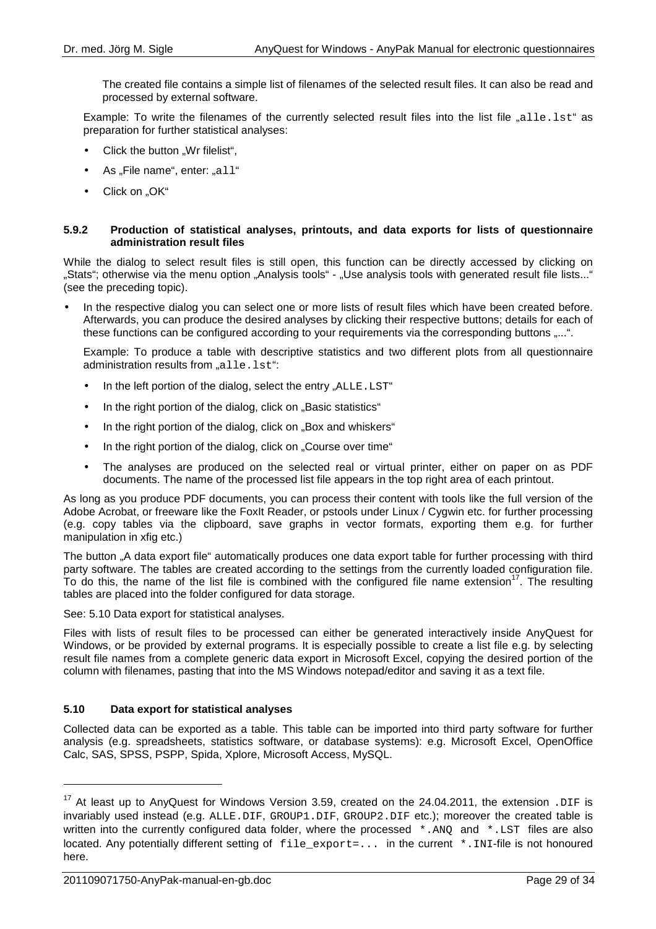The created file contains a simple list of filenames of the selected result files. It can also be read and processed by external software.

Example: To write the filenames of the currently selected result files into the list file "alle.lst" as preparation for further statistical analyses:

- Click the button "Wr filelist",
- $\bullet$  As "File name", enter: "all"
- Click on "OK"

#### **5.9.2 Production of statistical analyses, printouts, and data exports for lists of questionnaire administration result files**

While the dialog to select result files is still open, this function can be directly accessed by clicking on "Stats"; otherwise via the menu option "Analysis tools" - "Use analysis tools with generated result file lists..." (see the preceding topic).

• In the respective dialog you can select one or more lists of result files which have been created before. Afterwards, you can produce the desired analyses by clicking their respective buttons; details for each of these functions can be configured according to your requirements via the corresponding buttons .....".

Example: To produce a table with descriptive statistics and two different plots from all questionnaire administration results from "alle.lst":

- $\bullet$  In the left portion of the dialog, select the entry "ALLE, LST"
- In the right portion of the dialog, click on ..Basic statistics"
- In the right portion of the dialog, click on "Box and whiskers"
- In the right portion of the dialog, click on "Course over time"
- The analyses are produced on the selected real or virtual printer, either on paper on as PDF documents. The name of the processed list file appears in the top right area of each printout.

As long as you produce PDF documents, you can process their content with tools like the full version of the Adobe Acrobat, or freeware like the FoxIt Reader, or pstools under Linux / Cygwin etc. for further processing (e.g. copy tables via the clipboard, save graphs in vector formats, exporting them e.g. for further manipulation in xfig etc.)

The button "A data export file" automatically produces one data export table for further processing with third party software. The tables are created according to the settings from the currently loaded configuration file. To do this, the name of the list file is combined with the configured file name extension<sup>17</sup>. The resulting tables are placed into the folder configured for data storage.

See: 5.10 Data export for statistical analyses.

Files with lists of result files to be processed can either be generated interactively inside AnyQuest for Windows, or be provided by external programs. It is especially possible to create a list file e.g. by selecting result file names from a complete generic data export in Microsoft Excel, copying the desired portion of the column with filenames, pasting that into the MS Windows notepad/editor and saving it as a text file.

#### **5.10 Data export for statistical analyses**

Collected data can be exported as a table. This table can be imported into third party software for further analysis (e.g. spreadsheets, statistics software, or database systems): e.g. Microsoft Excel, OpenOffice Calc, SAS, SPSS, PSPP, Spida, Xplore, Microsoft Access, MySQL.

 $\overline{a}$ 

<sup>&</sup>lt;sup>17</sup> At least up to AnyQuest for Windows Version 3.59, created on the 24.04.2011, the extension . DIF is invariably used instead (e.g. ALLE.DIF, GROUP1.DIF, GROUP2.DIF etc.); moreover the created table is written into the currently configured data folder, where the processed \*. ANQ and \*. LST files are also located. Any potentially different setting of  $file$  export=... in the current  $*$ . INI-file is not honoured here.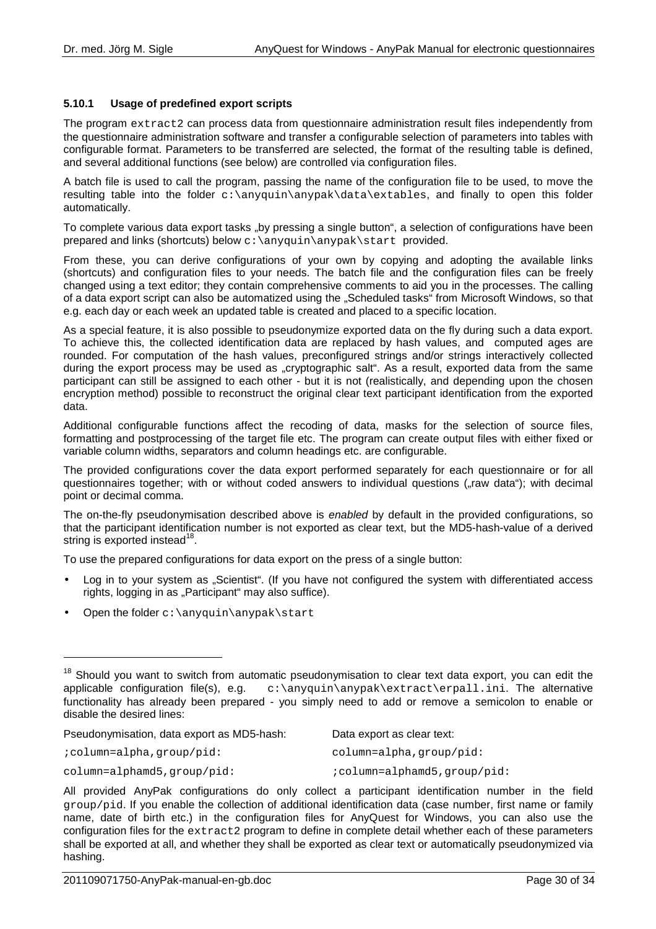## **5.10.1 Usage of predefined export scripts**

The program extract2 can process data from questionnaire administration result files independently from the questionnaire administration software and transfer a configurable selection of parameters into tables with configurable format. Parameters to be transferred are selected, the format of the resulting table is defined, and several additional functions (see below) are controlled via configuration files.

A batch file is used to call the program, passing the name of the configuration file to be used, to move the resulting table into the folder  $c:\\anyquin\anypak\data\extables$ , and finally to open this folder automatically.

To complete various data export tasks "by pressing a single button", a selection of configurations have been prepared and links (shortcuts) below c:\anyquin\anypak\start provided.

From these, you can derive configurations of your own by copying and adopting the available links (shortcuts) and configuration files to your needs. The batch file and the configuration files can be freely changed using a text editor; they contain comprehensive comments to aid you in the processes. The calling of a data export script can also be automatized using the "Scheduled tasks" from Microsoft Windows, so that e.g. each day or each week an updated table is created and placed to a specific location.

As a special feature, it is also possible to pseudonymize exported data on the fly during such a data export. To achieve this, the collected identification data are replaced by hash values, and computed ages are rounded. For computation of the hash values, preconfigured strings and/or strings interactively collected during the export process may be used as "cryptographic salt". As a result, exported data from the same participant can still be assigned to each other - but it is not (realistically, and depending upon the chosen encryption method) possible to reconstruct the original clear text participant identification from the exported data.

Additional configurable functions affect the recoding of data, masks for the selection of source files, formatting and postprocessing of the target file etc. The program can create output files with either fixed or variable column widths, separators and column headings etc. are configurable.

The provided configurations cover the data export performed separately for each questionnaire or for all questionnaires together; with or without coded answers to individual questions ("raw data"); with decimal point or decimal comma.

The on-the-fly pseudonymisation described above is enabled by default in the provided configurations, so that the participant identification number is not exported as clear text, but the MD5-hash-value of a derived string is exported instead $^{18}$ .

To use the prepared configurations for data export on the press of a single button:

- Log in to your system as "Scientist". (If you have not configured the system with differentiated access rights, logging in as "Participant" may also suffice).
- Open the folder  $c:\\an\varphi\an\varphi\$

Pseudonymisation, data export as MD5-hash: Data export as clear text:

;column=alpha,group/pid:

 $\overline{a}$ 

column=alpha,group/pid:

column=alphamd5, qroup/pid:

;column=alphamd5,group/pid:

<sup>&</sup>lt;sup>18</sup> Should you want to switch from automatic pseudonymisation to clear text data export, you can edit the applicable configuration file(s), e.g.  $c:\\anyquin\anypak\ext{erpal1.ini. The alternative$ functionality has already been prepared - you simply need to add or remove a semicolon to enable or disable the desired lines:

All provided AnyPak configurations do only collect a participant identification number in the field group/pid. If you enable the collection of additional identification data (case number, first name or family name, date of birth etc.) in the configuration files for AnyQuest for Windows, you can also use the configuration files for the extract2 program to define in complete detail whether each of these parameters shall be exported at all, and whether they shall be exported as clear text or automatically pseudonymized via hashing.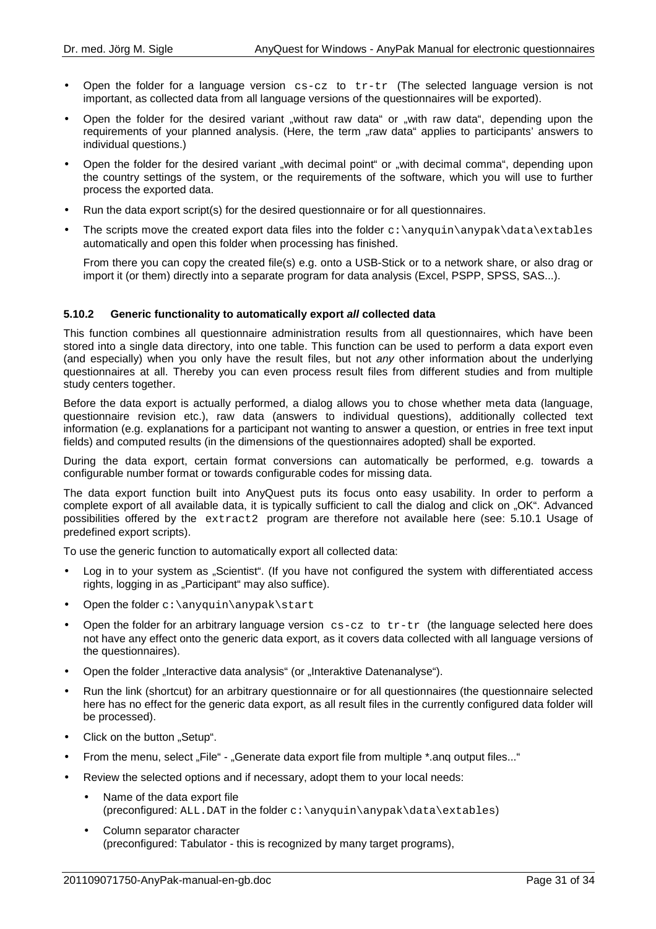- Open the folder for a language version cs-cz to tr-tr (The selected language version is not important, as collected data from all language versions of the questionnaires will be exported).
- Open the folder for the desired variant "without raw data" or "with raw data", depending upon the requirements of your planned analysis. (Here, the term "raw data" applies to participants' answers to individual questions.)
- Open the folder for the desired variant "with decimal point" or "with decimal comma", depending upon the country settings of the system, or the requirements of the software, which you will use to further process the exported data.
- Run the data export script(s) for the desired questionnaire or for all questionnaires.
- The scripts move the created export data files into the folder  $c:\\anyquin\anypak\data\ext{ables}$ automatically and open this folder when processing has finished.

From there you can copy the created file(s) e.g. onto a USB-Stick or to a network share, or also drag or import it (or them) directly into a separate program for data analysis (Excel, PSPP, SPSS, SAS...).

## **5.10.2 Generic functionality to automatically export all collected data**

This function combines all questionnaire administration results from all questionnaires, which have been stored into a single data directory, into one table. This function can be used to perform a data export even (and especially) when you only have the result files, but not any other information about the underlying questionnaires at all. Thereby you can even process result files from different studies and from multiple study centers together.

Before the data export is actually performed, a dialog allows you to chose whether meta data (language, questionnaire revision etc.), raw data (answers to individual questions), additionally collected text information (e.g. explanations for a participant not wanting to answer a question, or entries in free text input fields) and computed results (in the dimensions of the questionnaires adopted) shall be exported.

During the data export, certain format conversions can automatically be performed, e.g. towards a configurable number format or towards configurable codes for missing data.

The data export function built into AnyQuest puts its focus onto easy usability. In order to perform a complete export of all available data, it is typically sufficient to call the dialog and click on "OK". Advanced possibilities offered by the extract2 program are therefore not available here (see: 5.10.1 Usage of predefined export scripts).

To use the generic function to automatically export all collected data:

- Log in to your system as "Scientist". (If you have not configured the system with differentiated access rights, logging in as "Participant" may also suffice).
- Open the folder c:\anyquin\anypak\start
- Open the folder for an arbitrary language version  $cs-cz$  to  $tr-tr$  (the language selected here does not have any effect onto the generic data export, as it covers data collected with all language versions of the questionnaires).
- Open the folder "Interactive data analysis" (or "Interaktive Datenanalyse").
- Run the link (shortcut) for an arbitrary questionnaire or for all questionnaires (the questionnaire selected here has no effect for the generic data export, as all result files in the currently configured data folder will be processed).
- Click on the button "Setup".
- From the menu, select "File" "Generate data export file from multiple \*.ang output files..."
- Review the selected options and if necessary, adopt them to your local needs:
	- Name of the data export file (preconfigured: ALL.DAT in the folder c:\anyquin\anypak\data\extables)
	- Column separator character (preconfigured: Tabulator - this is recognized by many target programs),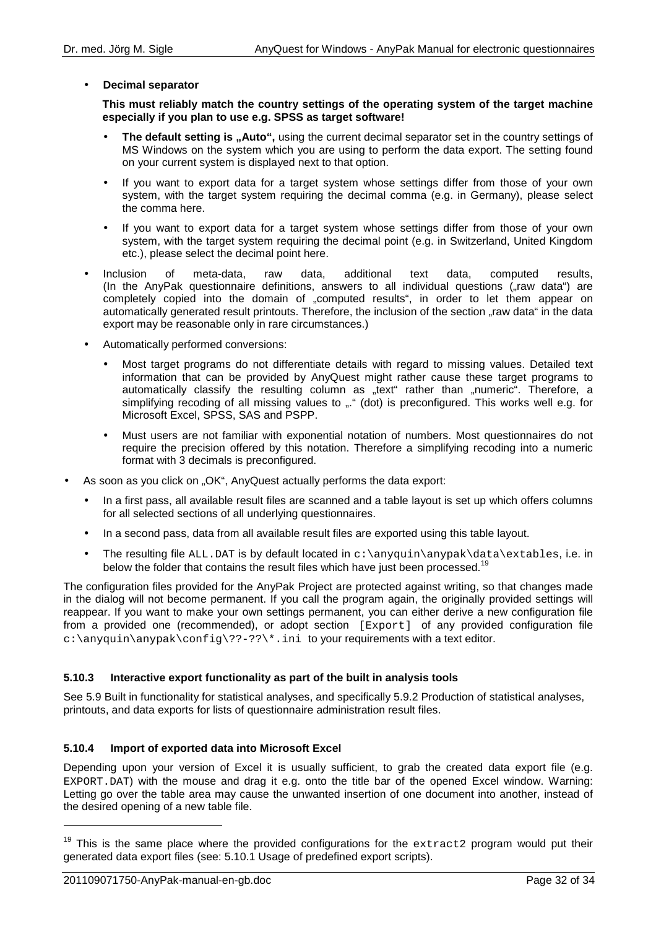## • **Decimal separator**

**This must reliably match the country settings of the operating system of the target machine especially if you plan to use e.g. SPSS as target software!**

- The default setting is "Auto", using the current decimal separator set in the country settings of MS Windows on the system which you are using to perform the data export. The setting found on your current system is displayed next to that option.
- If you want to export data for a target system whose settings differ from those of your own system, with the target system requiring the decimal comma (e.g. in Germany), please select the comma here.
- If you want to export data for a target system whose settings differ from those of your own system, with the target system requiring the decimal point (e.g. in Switzerland, United Kingdom etc.), please select the decimal point here.
- Inclusion of meta-data, raw data, additional text data, computed results, (In the AnyPak questionnaire definitions, answers to all individual questions  $\zeta$  raw data") are completely copied into the domain of "computed results", in order to let them appear on automatically generated result printouts. Therefore, the inclusion of the section "raw data" in the data export may be reasonable only in rare circumstances.)
- Automatically performed conversions:
	- Most target programs do not differentiate details with regard to missing values. Detailed text information that can be provided by AnyQuest might rather cause these target programs to automatically classify the resulting column as "text" rather than "numeric". Therefore, a simplifying recoding of all missing values to "." (dot) is preconfigured. This works well e.g. for Microsoft Excel, SPSS, SAS and PSPP.
	- Must users are not familiar with exponential notation of numbers. Most questionnaires do not require the precision offered by this notation. Therefore a simplifying recoding into a numeric format with 3 decimals is preconfigured.
- As soon as you click on "OK", AnyQuest actually performs the data export:
	- In a first pass, all available result files are scanned and a table layout is set up which offers columns for all selected sections of all underlying questionnaires.
	- In a second pass, data from all available result files are exported using this table layout.
	- The resulting file ALL.DAT is by default located in  $c:\anyquin\anypak\data\exists x.$  i.e. in below the folder that contains the result files which have just been processed.<sup>19</sup>

The configuration files provided for the AnyPak Project are protected against writing, so that changes made in the dialog will not become permanent. If you call the program again, the originally provided settings will reappear. If you want to make your own settings permanent, you can either derive a new configuration file from a provided one (recommended), or adopt section [Export] of any provided configuration file  $c:\\anyquin\anypak\confiq\??-??\\*.ini$  to your requirements with a text editor.

## **5.10.3 Interactive export functionality as part of the built in analysis tools**

See 5.9 Built in functionality for statistical analyses, and specifically 5.9.2 Production of statistical analyses, printouts, and data exports for lists of questionnaire administration result files.

## **5.10.4 Import of exported data into Microsoft Excel**

Depending upon your version of Excel it is usually sufficient, to grab the created data export file (e.g. EXPORT.DAT) with the mouse and drag it e.g. onto the title bar of the opened Excel window. Warning: Letting go over the table area may cause the unwanted insertion of one document into another, instead of the desired opening of a new table file.

 $\overline{a}$ 

 $19$  This is the same place where the provided configurations for the extract2 program would put their generated data export files (see: 5.10.1 Usage of predefined export scripts).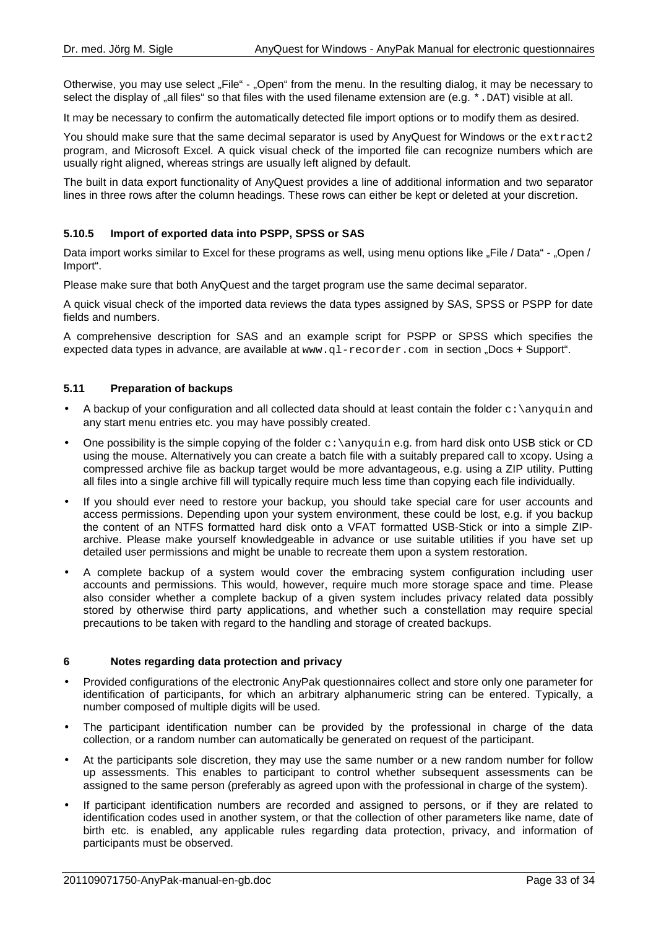Otherwise, you may use select "File" - "Open" from the menu. In the resulting dialog, it may be necessary to select the display of "all files" so that files with the used filename extension are (e.g. \*. DAT) visible at all.

It may be necessary to confirm the automatically detected file import options or to modify them as desired.

You should make sure that the same decimal separator is used by AnyQuest for Windows or the extract2 program, and Microsoft Excel. A quick visual check of the imported file can recognize numbers which are usually right aligned, whereas strings are usually left aligned by default.

The built in data export functionality of AnyQuest provides a line of additional information and two separator lines in three rows after the column headings. These rows can either be kept or deleted at your discretion.

## **5.10.5 Import of exported data into PSPP, SPSS or SAS**

Data import works similar to Excel for these programs as well, using menu options like "File / Data" - "Open / Import".

Please make sure that both AnyQuest and the target program use the same decimal separator.

A quick visual check of the imported data reviews the data types assigned by SAS, SPSS or PSPP for date fields and numbers.

A comprehensive description for SAS and an example script for PSPP or SPSS which specifies the expected data types in advance, are available at www.ql-recorder.com in section "Docs + Support".

## **5.11 Preparation of backups**

- A backup of your configuration and all collected data should at least contain the folder  $c:\\any{qui}$  and any start menu entries etc. you may have possibly created.
- One possibility is the simple copying of the folder  $c:\varphi$  anyquin e.g. from hard disk onto USB stick or CD using the mouse. Alternatively you can create a batch file with a suitably prepared call to xcopy. Using a compressed archive file as backup target would be more advantageous, e.g. using a ZIP utility. Putting all files into a single archive fill will typically require much less time than copying each file individually.
- If you should ever need to restore your backup, you should take special care for user accounts and access permissions. Depending upon your system environment, these could be lost, e.g. if you backup the content of an NTFS formatted hard disk onto a VFAT formatted USB-Stick or into a simple ZIParchive. Please make yourself knowledgeable in advance or use suitable utilities if you have set up detailed user permissions and might be unable to recreate them upon a system restoration.
- A complete backup of a system would cover the embracing system configuration including user accounts and permissions. This would, however, require much more storage space and time. Please also consider whether a complete backup of a given system includes privacy related data possibly stored by otherwise third party applications, and whether such a constellation may require special precautions to be taken with regard to the handling and storage of created backups.

## **6 Notes regarding data protection and privacy**

- Provided configurations of the electronic AnyPak questionnaires collect and store only one parameter for identification of participants, for which an arbitrary alphanumeric string can be entered. Typically, a number composed of multiple digits will be used.
- The participant identification number can be provided by the professional in charge of the data collection, or a random number can automatically be generated on request of the participant.
- At the participants sole discretion, they may use the same number or a new random number for follow up assessments. This enables to participant to control whether subsequent assessments can be assigned to the same person (preferably as agreed upon with the professional in charge of the system).
- If participant identification numbers are recorded and assigned to persons, or if they are related to identification codes used in another system, or that the collection of other parameters like name, date of birth etc. is enabled, any applicable rules regarding data protection, privacy, and information of participants must be observed.